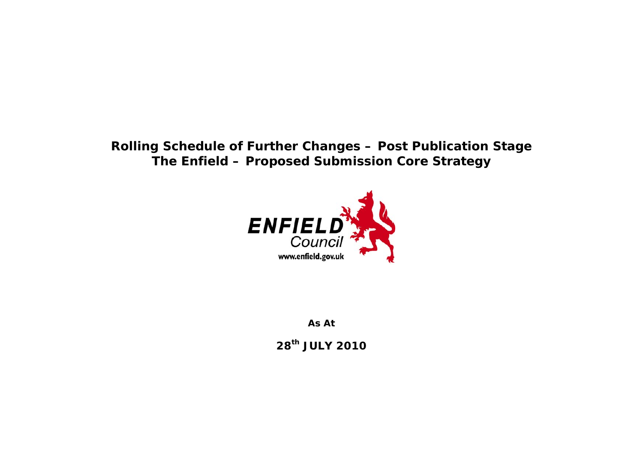## **Rolling Schedule of Further Changes – Post Publication Stage The Enfield – Proposed Submission Core Strategy**



**As At** 

**28th JULY 2010**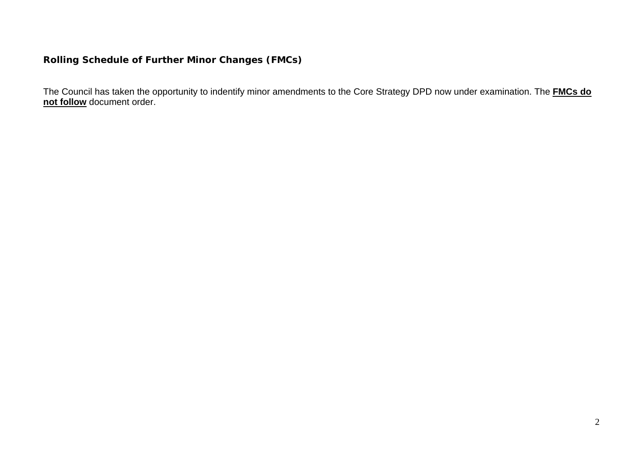## **Rolling Schedule of Further Minor Changes (FMCs)**

The Council has taken the opportunity to indentify minor amendments to the Core Strategy DPD now under examination. The **FMCs do not follow** document order.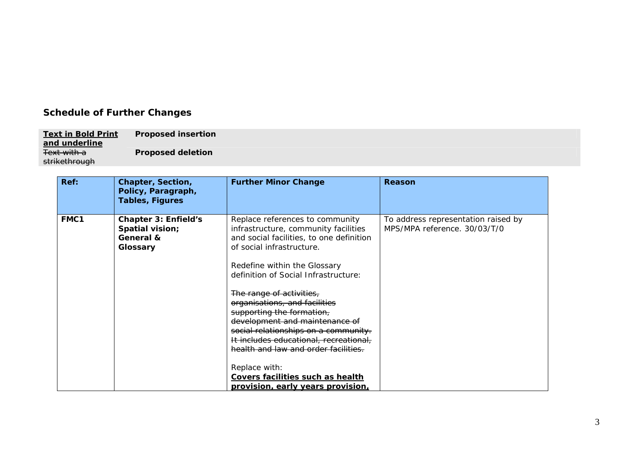## **Schedule of Further Changes**

**Text in Bold Print and underline** Text with a **Proposed insertion**  strikethrough **Proposed deletion** 

| Ref: | Chapter, Section,<br>Policy, Paragraph,<br><b>Tables, Figures</b>       | <b>Further Minor Change</b>                                                                                                                                                                                                                                                                                                                                                                                                                                                                                                                                                     | Reason                                                              |
|------|-------------------------------------------------------------------------|---------------------------------------------------------------------------------------------------------------------------------------------------------------------------------------------------------------------------------------------------------------------------------------------------------------------------------------------------------------------------------------------------------------------------------------------------------------------------------------------------------------------------------------------------------------------------------|---------------------------------------------------------------------|
| FMC1 | <b>Chapter 3: Enfield's</b><br>Spatial vision;<br>General &<br>Glossary | Replace references to community<br>infrastructure, community facilities<br>and social facilities, to one definition<br>of social infrastructure.<br>Redefine within the Glossary<br>definition of Social Infrastructure:<br>The range of activities,<br>organisations, and facilities<br>supporting the formation,<br>development and maintenance of<br>social relationships on a community.<br>It includes educational, recreational,<br>health and law and order facilities.<br>Replace with:<br>Covers facilities such as health<br><u>provision, early years provision,</u> | To address representation raised by<br>MPS/MPA reference. 30/03/T/0 |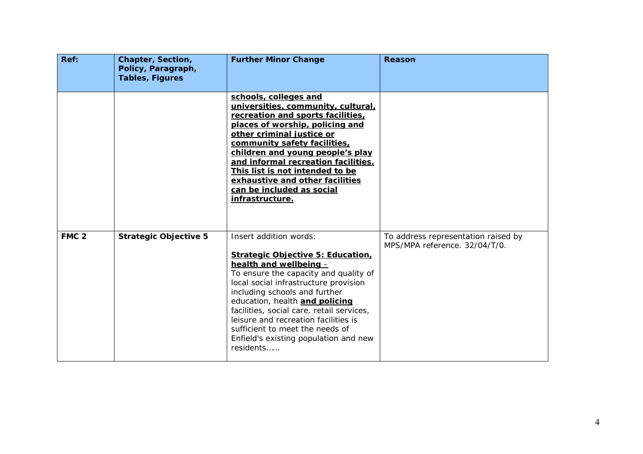| Ref:             | Chapter, Section,<br>Policy, Paragraph,<br><b>Tables, Figures</b> | <b>Further Minor Change</b>                                                                                                                                                                                                                                                                                                                                                                                                     | <b>Reason</b>                                                        |
|------------------|-------------------------------------------------------------------|---------------------------------------------------------------------------------------------------------------------------------------------------------------------------------------------------------------------------------------------------------------------------------------------------------------------------------------------------------------------------------------------------------------------------------|----------------------------------------------------------------------|
|                  |                                                                   | schools, colleges and<br>universities, community, cultural,<br>recreation and sports facilities,<br>places of worship, policing and<br>other criminal justice or<br>community safety facilities,<br>children and young people's play<br>and informal recreation facilities.<br>This list is not intended to be<br>exhaustive and other facilities<br>can be included as social<br>infrastructure.                               |                                                                      |
| FMC <sub>2</sub> | <b>Strategic Objective 5</b>                                      | Insert addition words:<br><b>Strategic Objective 5: Education,</b><br>health and wellbeing -<br>To ensure the capacity and quality of<br>local social infrastructure provision<br>including schools and further<br>education, health and policing<br>facilities, social care, retail services,<br>leisure and recreation facilities is<br>sufficient to meet the needs of<br>Enfield's existing population and new<br>residents | To address representation raised by<br>MPS/MPA reference. 32/04/T/0. |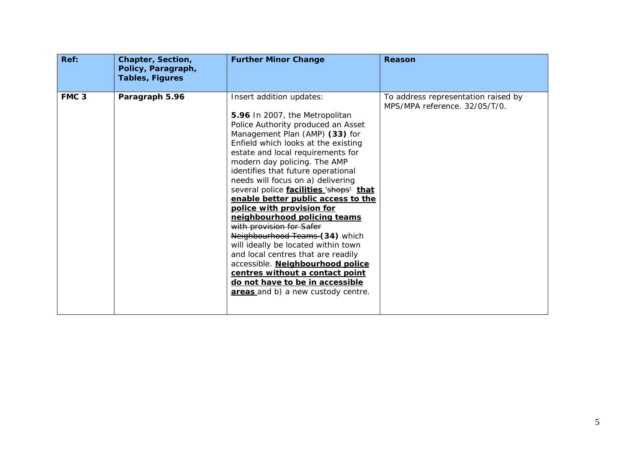| Ref:             | Chapter, Section,<br>Policy, Paragraph,<br><b>Tables, Figures</b> | <b>Further Minor Change</b>                                                                                                                                                                                                                                                                                                                                                                                                                                                                                                                                                                                                                                                                                                                                       | <b>Reason</b>                                                        |
|------------------|-------------------------------------------------------------------|-------------------------------------------------------------------------------------------------------------------------------------------------------------------------------------------------------------------------------------------------------------------------------------------------------------------------------------------------------------------------------------------------------------------------------------------------------------------------------------------------------------------------------------------------------------------------------------------------------------------------------------------------------------------------------------------------------------------------------------------------------------------|----------------------------------------------------------------------|
| FMC <sub>3</sub> | Paragraph 5.96                                                    | Insert addition updates:<br>5.96 In 2007, the Metropolitan<br>Police Authority produced an Asset<br>Management Plan (AMP) (33) for<br>Enfield which looks at the existing<br>estate and local requirements for<br>modern day policing. The AMP<br>identifies that future operational<br>needs will focus on a) delivering<br>several police facilities 'shops' that<br>enable better public access to the<br>police with provision for<br>neighbourhood policing teams<br>with provision for Safer<br>Neighbourhood Teams (34) which<br>will ideally be located within town<br>and local centres that are readily<br>accessible. Neighbourhood police<br>centres without a contact point<br>do not have to be in accessible<br>areas and b) a new custody centre. | To address representation raised by<br>MPS/MPA reference. 32/05/T/0. |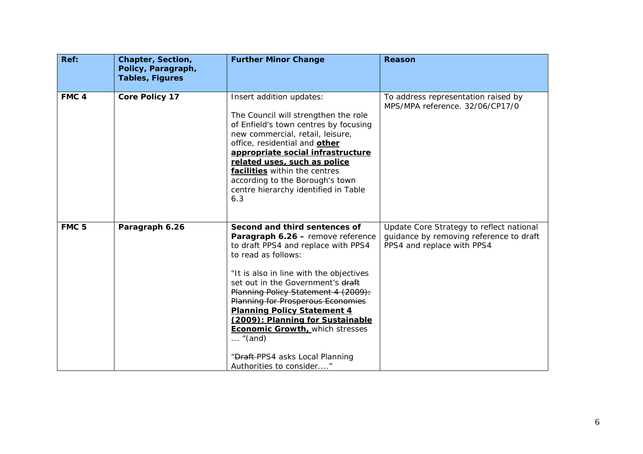| Ref:             | Chapter, Section,<br>Policy, Paragraph,<br><b>Tables, Figures</b> | <b>Further Minor Change</b>                                                                                                                                                                                                                                                                                                                                                                                                                                                                               | <b>Reason</b>                                                                                                     |
|------------------|-------------------------------------------------------------------|-----------------------------------------------------------------------------------------------------------------------------------------------------------------------------------------------------------------------------------------------------------------------------------------------------------------------------------------------------------------------------------------------------------------------------------------------------------------------------------------------------------|-------------------------------------------------------------------------------------------------------------------|
| FMC <sub>4</sub> | <b>Core Policy 17</b>                                             | Insert addition updates:<br>The Council will strengthen the role<br>of Enfield's town centres by focusing<br>new commercial, retail, leisure,<br>office, residential and other<br>appropriate social infrastructure<br>related uses, such as police<br>facilities within the centres<br>according to the Borough's town<br>centre hierarchy identified in Table<br>6.3                                                                                                                                    | To address representation raised by<br>MPS/MPA reference. 32/06/CP17/0                                            |
| FMC <sub>5</sub> | Paragraph 6.26                                                    | Second and third sentences of<br>Paragraph 6.26 - remove reference<br>to draft PPS4 and replace with PPS4<br>to read as follows:<br>"It is also in line with the objectives<br>set out in the Government's draft<br>Planning Policy Statement 4 (2009):<br><b>Planning for Prosperous Economies</b><br><b>Planning Policy Statement 4</b><br>(2009): Planning for Sustainable<br><b>Economic Growth, which stresses</b><br>$\ldots$ "(and)<br>"Draft-PPS4 asks Local Planning<br>Authorities to consider" | Update Core Strategy to reflect national<br>guidance by removing reference to draft<br>PPS4 and replace with PPS4 |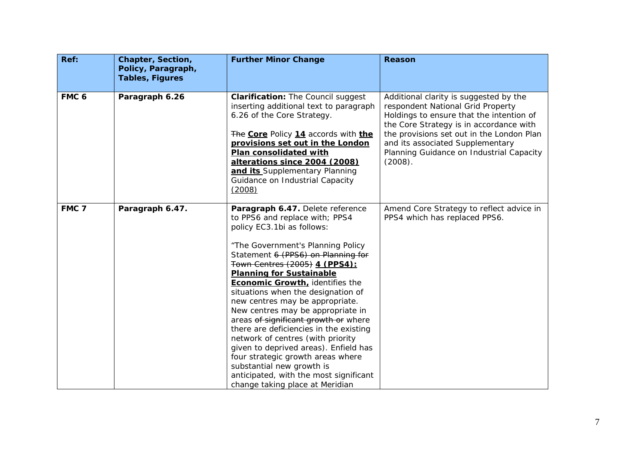| Ref:             | Chapter, Section,<br>Policy, Paragraph,<br><b>Tables, Figures</b> | <b>Further Minor Change</b>                                                                                                                                                                                                                                                                                                                                                                                                                                                                                                                                                                                                                                                                                     | <b>Reason</b>                                                                                                                                                                                                                                                                                              |
|------------------|-------------------------------------------------------------------|-----------------------------------------------------------------------------------------------------------------------------------------------------------------------------------------------------------------------------------------------------------------------------------------------------------------------------------------------------------------------------------------------------------------------------------------------------------------------------------------------------------------------------------------------------------------------------------------------------------------------------------------------------------------------------------------------------------------|------------------------------------------------------------------------------------------------------------------------------------------------------------------------------------------------------------------------------------------------------------------------------------------------------------|
| FMC <sub>6</sub> | Paragraph 6.26                                                    | <b>Clarification: The Council suggest</b><br>inserting additional text to paragraph<br>6.26 of the Core Strategy.<br>The Core Policy 14 accords with the<br>provisions set out in the London<br>Plan consolidated with<br>alterations since 2004 (2008)<br>and its Supplementary Planning<br>Guidance on Industrial Capacity<br>(2008)                                                                                                                                                                                                                                                                                                                                                                          | Additional clarity is suggested by the<br>respondent National Grid Property<br>Holdings to ensure that the intention of<br>the Core Strategy is in accordance with<br>the provisions set out in the London Plan<br>and its associated Supplementary<br>Planning Guidance on Industrial Capacity<br>(2008). |
| FMC <sub>7</sub> | Paragraph 6.47.                                                   | Paragraph 6.47. Delete reference<br>to PPS6 and replace with; PPS4<br>policy EC3.1bi as follows:<br>"The Government's Planning Policy<br>Statement 6 (PPS6) on Planning for<br>Town Centres (2005) 4 (PPS4):<br><b>Planning for Sustainable</b><br>Economic Growth, identifies the<br>situations when the designation of<br>new centres may be appropriate.<br>New centres may be appropriate in<br>areas of significant growth or where<br>there are deficiencies in the existing<br>network of centres (with priority<br>given to deprived areas). Enfield has<br>four strategic growth areas where<br>substantial new growth is<br>anticipated, with the most significant<br>change taking place at Meridian | Amend Core Strategy to reflect advice in<br>PPS4 which has replaced PPS6.                                                                                                                                                                                                                                  |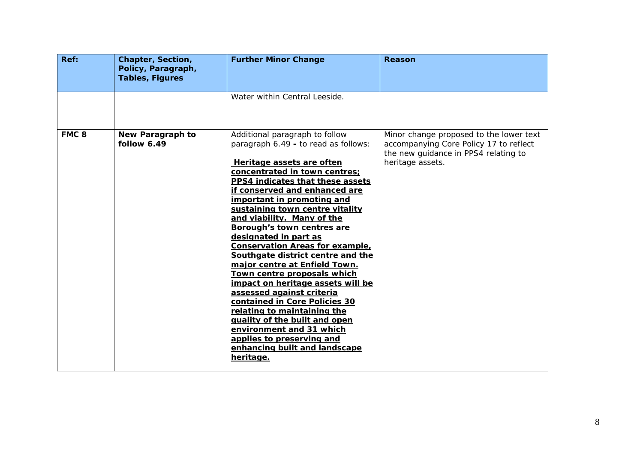| Ref:             | Chapter, Section,<br>Policy, Paragraph,<br><b>Tables, Figures</b> | <b>Further Minor Change</b>                                                                                                                                                                                                                                                                                                                                                                                                                                                                                                                                                                                                                                                                                                                                                              | <b>Reason</b>                                                                                                                                 |
|------------------|-------------------------------------------------------------------|------------------------------------------------------------------------------------------------------------------------------------------------------------------------------------------------------------------------------------------------------------------------------------------------------------------------------------------------------------------------------------------------------------------------------------------------------------------------------------------------------------------------------------------------------------------------------------------------------------------------------------------------------------------------------------------------------------------------------------------------------------------------------------------|-----------------------------------------------------------------------------------------------------------------------------------------------|
|                  |                                                                   | Water within Central Leeside.                                                                                                                                                                                                                                                                                                                                                                                                                                                                                                                                                                                                                                                                                                                                                            |                                                                                                                                               |
| FMC <sub>8</sub> | New Paragraph to<br>follow 6.49                                   | Additional paragraph to follow<br>paragraph 6.49 - to read as follows:<br>Heritage assets are often<br>concentrated in town centres;<br>PPS4 indicates that these assets<br>if conserved and enhanced are<br>important in promoting and<br>sustaining town centre vitality<br>and viability. Many of the<br>Borough's town centres are<br>designated in part as<br><b>Conservation Areas for example,</b><br>Southgate district centre and the<br>major centre at Enfield Town.<br>Town centre proposals which<br>impact on heritage assets will be<br>assessed against criteria<br>contained in Core Policies 30<br>relating to maintaining the<br>quality of the built and open<br>environment and 31 which<br>applies to preserving and<br>enhancing built and landscape<br>heritage. | Minor change proposed to the lower text<br>accompanying Core Policy 17 to reflect<br>the new guidance in PPS4 relating to<br>heritage assets. |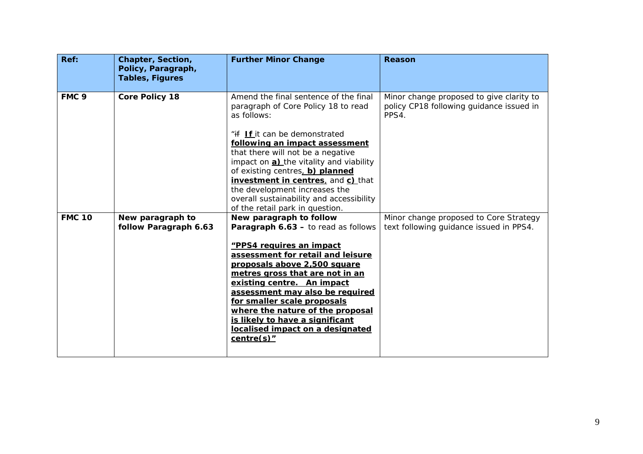| Ref:             | Chapter, Section,<br>Policy, Paragraph,<br><b>Tables, Figures</b> | <b>Further Minor Change</b>                                                                                                                                                                                                                                                                                                                                                                                                             | <b>Reason</b>                                                                                 |
|------------------|-------------------------------------------------------------------|-----------------------------------------------------------------------------------------------------------------------------------------------------------------------------------------------------------------------------------------------------------------------------------------------------------------------------------------------------------------------------------------------------------------------------------------|-----------------------------------------------------------------------------------------------|
| FMC <sub>9</sub> | <b>Core Policy 18</b>                                             | Amend the final sentence of the final<br>paragraph of Core Policy 18 to read<br>as follows:<br>"if If it can be demonstrated<br>following an impact assessment<br>that there will not be a negative<br>impact on a) the vitality and viability<br>of existing centres, b) planned<br>investment in centres, and c) that<br>the development increases the<br>overall sustainability and accessibility<br>of the retail park in question. | Minor change proposed to give clarity to<br>policy CP18 following guidance issued in<br>PPS4. |
| <b>FMC 10</b>    | New paragraph to<br>follow Paragraph 6.63                         | New paragraph to follow<br>Paragraph 6.63 - to read as follows<br>"PPS4 requires an impact<br>assessment for retail and leisure<br>proposals above 2,500 square<br>metres gross that are not in an<br>existing centre. An impact<br>assessment may also be required<br>for smaller scale proposals<br>where the nature of the proposal<br>is likely to have a significant<br>localised impact on a designated<br>$centre(s)$ "          | Minor change proposed to Core Strategy<br>text following guidance issued in PPS4.             |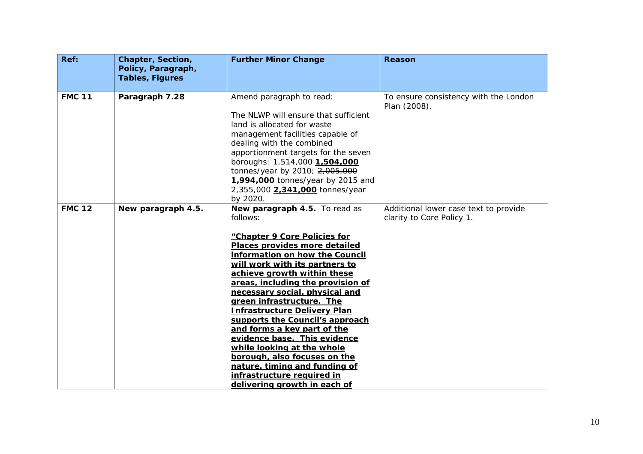| Ref:          | Chapter, Section,<br>Policy, Paragraph,<br><b>Tables, Figures</b> | <b>Further Minor Change</b>                                                                                                                                                                                                                                                                                                                                                                                                                                                                                                                                                                                             | <b>Reason</b>                                                      |
|---------------|-------------------------------------------------------------------|-------------------------------------------------------------------------------------------------------------------------------------------------------------------------------------------------------------------------------------------------------------------------------------------------------------------------------------------------------------------------------------------------------------------------------------------------------------------------------------------------------------------------------------------------------------------------------------------------------------------------|--------------------------------------------------------------------|
|               |                                                                   |                                                                                                                                                                                                                                                                                                                                                                                                                                                                                                                                                                                                                         |                                                                    |
| <b>FMC 11</b> | Paragraph 7.28                                                    | Amend paragraph to read:<br>The NLWP will ensure that sufficient<br>land is allocated for waste<br>management facilities capable of<br>dealing with the combined<br>apportionment targets for the seven<br>boroughs: 1,514,000-1,504,000<br>tonnes/year by 2010; 2,005,000<br>1.994.000 tonnes/year by 2015 and<br>2,355,000 2,341,000 tonnes/year<br>by 2020.                                                                                                                                                                                                                                                          | To ensure consistency with the London<br>Plan (2008).              |
| <b>FMC 12</b> | New paragraph 4.5.                                                | New paragraph 4.5. To read as<br>follows:<br>"Chapter 9 Core Policies for<br>Places provides more detailed<br>information on how the Council<br>will work with its partners to<br>achieve growth within these<br>areas, including the provision of<br>necessary social, physical and<br>green infrastructure. The<br><b>Infrastructure Delivery Plan</b><br>supports the Council's approach<br>and forms a key part of the<br>evidence base. This evidence<br>while looking at the whole<br>borough, also focuses on the<br>nature, timing and funding of<br>infrastructure required in<br>delivering growth in each of | Additional lower case text to provide<br>clarity to Core Policy 1. |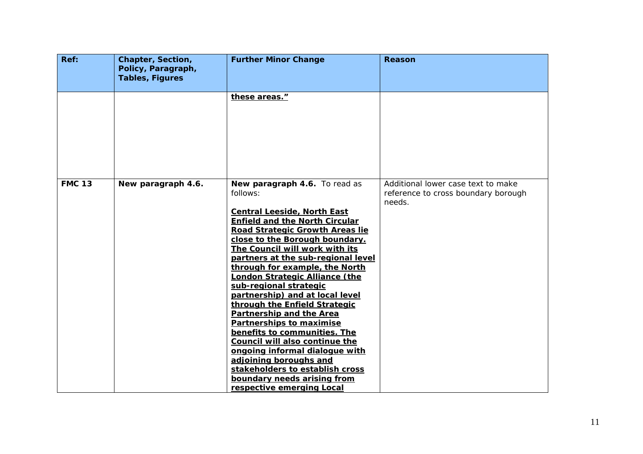| Ref:          | Chapter, Section,<br>Policy, Paragraph, | <b>Further Minor Change</b>                                                                                                                                                                                                                                                                                                                                                                                                                                                                                                                                                                                                                                                                                                                | Reason                                                                              |
|---------------|-----------------------------------------|--------------------------------------------------------------------------------------------------------------------------------------------------------------------------------------------------------------------------------------------------------------------------------------------------------------------------------------------------------------------------------------------------------------------------------------------------------------------------------------------------------------------------------------------------------------------------------------------------------------------------------------------------------------------------------------------------------------------------------------------|-------------------------------------------------------------------------------------|
|               | <b>Tables, Figures</b>                  |                                                                                                                                                                                                                                                                                                                                                                                                                                                                                                                                                                                                                                                                                                                                            |                                                                                     |
|               |                                         | these areas."                                                                                                                                                                                                                                                                                                                                                                                                                                                                                                                                                                                                                                                                                                                              |                                                                                     |
| <b>FMC 13</b> | New paragraph 4.6.                      | New paragraph 4.6. To read as<br>follows:<br><b>Central Leeside, North East</b><br><b>Enfield and the North Circular</b><br>Road Strategic Growth Areas lie<br>close to the Borough boundary.<br>The Council will work with its<br>partners at the sub-regional level<br>through for example, the North<br><b>London Strategic Alliance (the</b><br>sub-regional strategic<br>partnership) and at local level<br>through the Enfield Strategic<br>Partnership and the Area<br><b>Partnerships to maximise</b><br>benefits to communities. The<br>Council will also continue the<br>ongoing informal dialogue with<br>adjoining boroughs and<br>stakeholders to establish cross<br>boundary needs arising from<br>respective emerging Local | Additional lower case text to make<br>reference to cross boundary borough<br>needs. |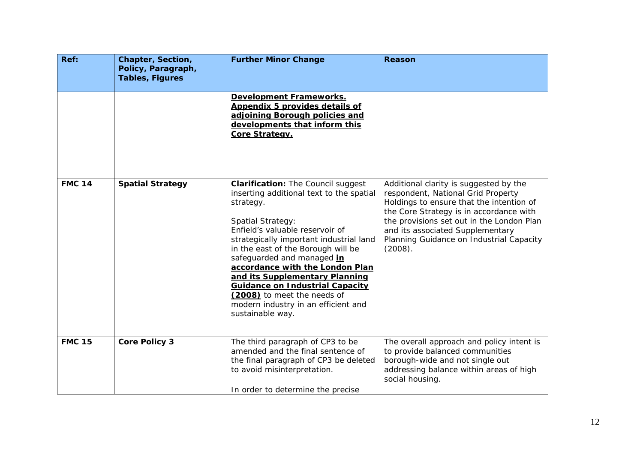| Ref:          | Chapter, Section,<br>Policy, Paragraph, | <b>Further Minor Change</b>                                                                                                                                                                                                                                                                                                                                                                                                                                                               | <b>Reason</b>                                                                                                                                                                                                                                                                                               |
|---------------|-----------------------------------------|-------------------------------------------------------------------------------------------------------------------------------------------------------------------------------------------------------------------------------------------------------------------------------------------------------------------------------------------------------------------------------------------------------------------------------------------------------------------------------------------|-------------------------------------------------------------------------------------------------------------------------------------------------------------------------------------------------------------------------------------------------------------------------------------------------------------|
|               | <b>Tables, Figures</b>                  |                                                                                                                                                                                                                                                                                                                                                                                                                                                                                           |                                                                                                                                                                                                                                                                                                             |
|               |                                         | Development Frameworks.<br>Appendix 5 provides details of<br>adjoining Borough policies and<br>developments that inform this<br>Core Strategy.                                                                                                                                                                                                                                                                                                                                            |                                                                                                                                                                                                                                                                                                             |
| <b>FMC 14</b> | <b>Spatial Strategy</b>                 | <b>Clarification: The Council suggest</b><br>inserting additional text to the spatial<br>strategy.<br><b>Spatial Strategy:</b><br>Enfield's valuable reservoir of<br>strategically important industrial land<br>in the east of the Borough will be<br>safeguarded and managed in<br>accordance with the London Plan<br>and its Supplementary Planning<br><b>Guidance on Industrial Capacity</b><br>(2008) to meet the needs of<br>modern industry in an efficient and<br>sustainable way. | Additional clarity is suggested by the<br>respondent, National Grid Property<br>Holdings to ensure that the intention of<br>the Core Strategy is in accordance with<br>the provisions set out in the London Plan<br>and its associated Supplementary<br>Planning Guidance on Industrial Capacity<br>(2008). |
| <b>FMC 15</b> | <b>Core Policy 3</b>                    | The third paragraph of CP3 to be<br>amended and the final sentence of<br>the final paragraph of CP3 be deleted<br>to avoid misinterpretation.<br>In order to determine the precise                                                                                                                                                                                                                                                                                                        | The overall approach and policy intent is<br>to provide balanced communities<br>borough-wide and not single out<br>addressing balance within areas of high<br>social housing.                                                                                                                               |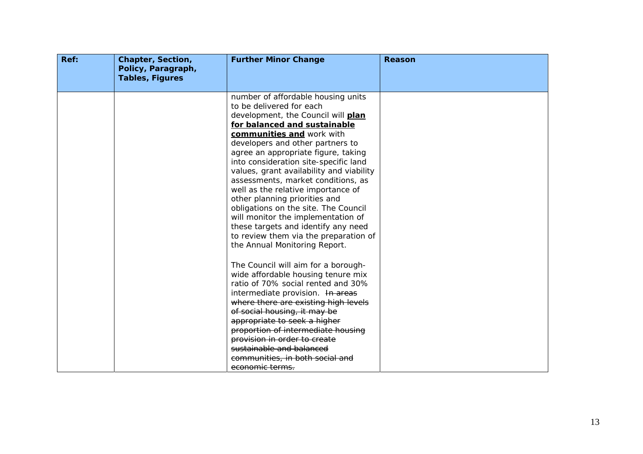| Ref: | Chapter, Section,<br>Policy, Paragraph,<br><b>Tables, Figures</b> | <b>Further Minor Change</b>                                                                                                                                                                                                                                                                                                                                                                                                                                                                                                                                                                                                                                                                                                                                                                                                                                                                                  | Reason |
|------|-------------------------------------------------------------------|--------------------------------------------------------------------------------------------------------------------------------------------------------------------------------------------------------------------------------------------------------------------------------------------------------------------------------------------------------------------------------------------------------------------------------------------------------------------------------------------------------------------------------------------------------------------------------------------------------------------------------------------------------------------------------------------------------------------------------------------------------------------------------------------------------------------------------------------------------------------------------------------------------------|--------|
|      |                                                                   | number of affordable housing units<br>to be delivered for each<br>development, the Council will plan<br>for balanced and sustainable<br>communities and work with<br>developers and other partners to<br>agree an appropriate figure, taking<br>into consideration site-specific land<br>values, grant availability and viability<br>assessments, market conditions, as<br>well as the relative importance of<br>other planning priorities and<br>obligations on the site. The Council<br>will monitor the implementation of<br>these targets and identify any need<br>to review them via the preparation of<br>the Annual Monitoring Report.<br>The Council will aim for a borough-<br>wide affordable housing tenure mix<br>ratio of 70% social rented and 30%<br>intermediate provision. In areas<br>where there are existing high levels<br>of social housing, it may be<br>appropriate to seek a higher |        |
|      |                                                                   | proportion of intermediate housing<br>provision in order to create<br>sustainable and balanced<br>communities, in both social and<br>economic terms.                                                                                                                                                                                                                                                                                                                                                                                                                                                                                                                                                                                                                                                                                                                                                         |        |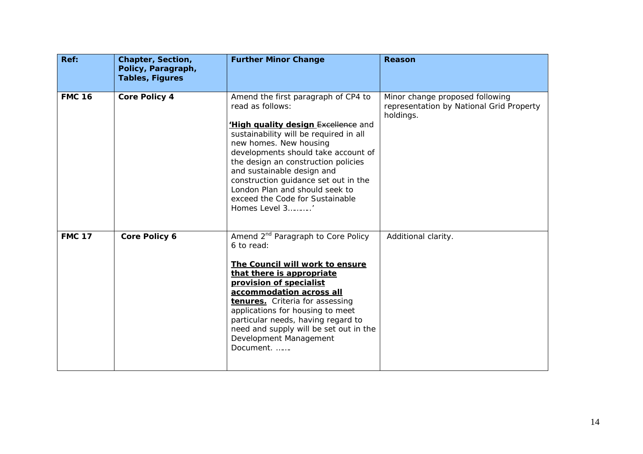| Ref:          | Chapter, Section,<br>Policy, Paragraph,<br><b>Tables, Figures</b> | <b>Further Minor Change</b>                                                                                                                                                                                                                                                                                                                                                                                         | Reason                                                                                   |
|---------------|-------------------------------------------------------------------|---------------------------------------------------------------------------------------------------------------------------------------------------------------------------------------------------------------------------------------------------------------------------------------------------------------------------------------------------------------------------------------------------------------------|------------------------------------------------------------------------------------------|
| <b>FMC 16</b> | <b>Core Policy 4</b>                                              | Amend the first paragraph of CP4 to<br>read as follows:<br><b>High quality design Excellence</b> and<br>sustainability will be required in all<br>new homes. New housing<br>developments should take account of<br>the design an construction policies<br>and sustainable design and<br>construction guidance set out in the<br>London Plan and should seek to<br>exceed the Code for Sustainable<br>Homes Level 3' | Minor change proposed following<br>representation by National Grid Property<br>holdings. |
| <b>FMC 17</b> | Core Policy 6                                                     | Amend 2 <sup>nd</sup> Paragraph to Core Policy<br>6 to read:<br>The Council will work to ensure<br>that there is appropriate<br>provision of specialist<br>accommodation across all<br>tenures. Criteria for assessing<br>applications for housing to meet<br>particular needs, having regard to<br>need and supply will be set out in the<br>Development Management<br>Document.                                   | Additional clarity.                                                                      |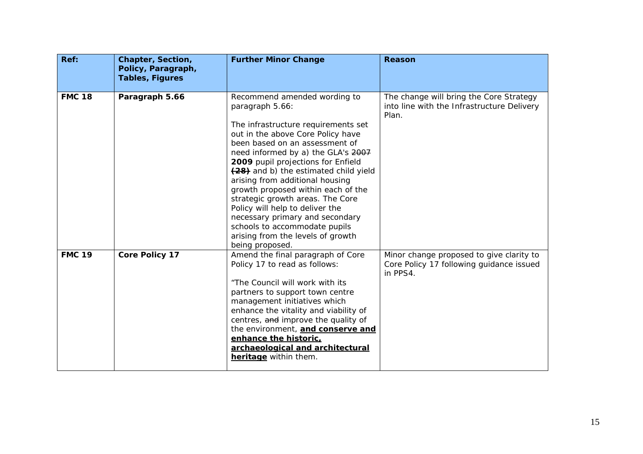| Ref:          | <b>Chapter, Section,</b><br>Policy, Paragraph,<br><b>Tables, Figures</b> | <b>Further Minor Change</b>                                                                                                                                                                                                                                                                                                                                                                                                                                                                                                                                    | <b>Reason</b>                                                                                    |
|---------------|--------------------------------------------------------------------------|----------------------------------------------------------------------------------------------------------------------------------------------------------------------------------------------------------------------------------------------------------------------------------------------------------------------------------------------------------------------------------------------------------------------------------------------------------------------------------------------------------------------------------------------------------------|--------------------------------------------------------------------------------------------------|
| <b>FMC 18</b> | Paragraph 5.66                                                           | Recommend amended wording to<br>paragraph 5.66:<br>The infrastructure requirements set<br>out in the above Core Policy have<br>been based on an assessment of<br>need informed by a) the GLA's 2007<br>2009 pupil projections for Enfield<br>(28) and b) the estimated child yield<br>arising from additional housing<br>growth proposed within each of the<br>strategic growth areas. The Core<br>Policy will help to deliver the<br>necessary primary and secondary<br>schools to accommodate pupils<br>arising from the levels of growth<br>being proposed. | The change will bring the Core Strategy<br>into line with the Infrastructure Delivery<br>Plan.   |
| <b>FMC 19</b> | <b>Core Policy 17</b>                                                    | Amend the final paragraph of Core<br>Policy 17 to read as follows:<br>"The Council will work with its<br>partners to support town centre<br>management initiatives which<br>enhance the vitality and viability of<br>centres, and improve the quality of<br>the environment, and conserve and<br>enhance the historic,<br>archaeological and architectural<br>heritage within them.                                                                                                                                                                            | Minor change proposed to give clarity to<br>Core Policy 17 following guidance issued<br>in PPS4. |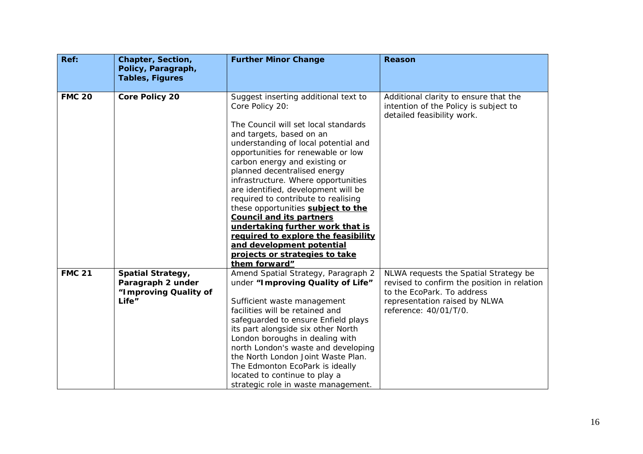| Ref:          | Chapter, Section,<br>Policy, Paragraph,                                         | <b>Further Minor Change</b>                                                                                                                                                                                                                                                                                                                                                                                                                                                                                                                                                                                        | <b>Reason</b>                                                                                                                                                                |
|---------------|---------------------------------------------------------------------------------|--------------------------------------------------------------------------------------------------------------------------------------------------------------------------------------------------------------------------------------------------------------------------------------------------------------------------------------------------------------------------------------------------------------------------------------------------------------------------------------------------------------------------------------------------------------------------------------------------------------------|------------------------------------------------------------------------------------------------------------------------------------------------------------------------------|
|               | <b>Tables, Figures</b>                                                          |                                                                                                                                                                                                                                                                                                                                                                                                                                                                                                                                                                                                                    |                                                                                                                                                                              |
| <b>FMC 20</b> | <b>Core Policy 20</b>                                                           | Suggest inserting additional text to<br>Core Policy 20:<br>The Council will set local standards<br>and targets, based on an<br>understanding of local potential and<br>opportunities for renewable or low<br>carbon energy and existing or<br>planned decentralised energy<br>infrastructure. Where opportunities<br>are identified, development will be<br>required to contribute to realising<br>these opportunities subject to the<br><b>Council and its partners</b><br>undertaking further work that is<br>required to explore the feasibility<br>and development potential<br>projects or strategies to take | Additional clarity to ensure that the<br>intention of the Policy is subject to<br>detailed feasibility work.                                                                 |
|               |                                                                                 | them forward"                                                                                                                                                                                                                                                                                                                                                                                                                                                                                                                                                                                                      |                                                                                                                                                                              |
| <b>FMC 21</b> | <b>Spatial Strategy,</b><br>Paragraph 2 under<br>"Improving Quality of<br>Life" | Amend Spatial Strategy, Paragraph 2<br>under "Improving Quality of Life"<br>Sufficient waste management<br>facilities will be retained and<br>safeguarded to ensure Enfield plays<br>its part alongside six other North<br>London boroughs in dealing with<br>north London's waste and developing<br>the North London Joint Waste Plan.<br>The Edmonton EcoPark is ideally<br>located to continue to play a<br>strategic role in waste management.                                                                                                                                                                 | NLWA requests the Spatial Strategy be<br>revised to confirm the position in relation<br>to the EcoPark. To address<br>representation raised by NLWA<br>reference: 40/01/T/0. |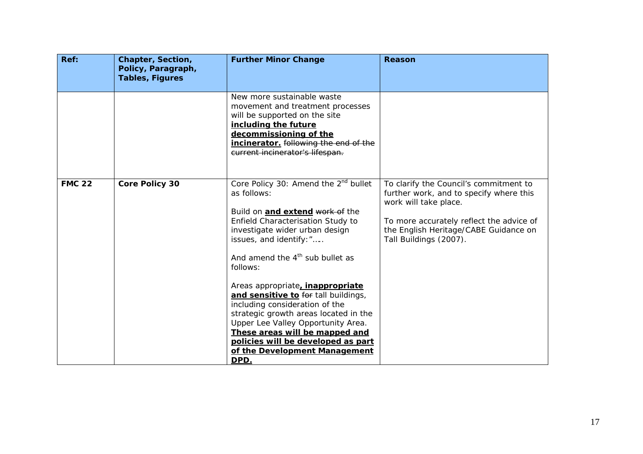| Ref:          | <b>Chapter, Section,</b><br>Policy, Paragraph,<br><b>Tables, Figures</b> | <b>Further Minor Change</b>                                                                                                                                                                                                                                                                                                                                                                                                                                                                                                                                                | <b>Reason</b>                                                                                                                                                                                                             |
|---------------|--------------------------------------------------------------------------|----------------------------------------------------------------------------------------------------------------------------------------------------------------------------------------------------------------------------------------------------------------------------------------------------------------------------------------------------------------------------------------------------------------------------------------------------------------------------------------------------------------------------------------------------------------------------|---------------------------------------------------------------------------------------------------------------------------------------------------------------------------------------------------------------------------|
|               |                                                                          | New more sustainable waste<br>movement and treatment processes<br>will be supported on the site<br>including the future<br>decommissioning of the<br>incinerator. following the end of the<br>current incinerator's lifespan.                                                                                                                                                                                                                                                                                                                                              |                                                                                                                                                                                                                           |
| <b>FMC 22</b> | <b>Core Policy 30</b>                                                    | Core Policy 30: Amend the 2 <sup>nd</sup> bullet<br>as follows:<br>Build on and extend work of the<br>Enfield Characterisation Study to<br>investigate wider urban design<br>issues, and identify: "<br>And amend the $4th$ sub bullet as<br>follows:<br>Areas appropriate, <i>inappropriate</i><br>and sensitive to for tall buildings,<br>including consideration of the<br>strategic growth areas located in the<br>Upper Lee Valley Opportunity Area.<br>These areas will be mapped and<br>policies will be developed as part<br>of the Development Management<br>DPD. | To clarify the Council's commitment to<br>further work, and to specify where this<br>work will take place.<br>To more accurately reflect the advice of<br>the English Heritage/CABE Guidance on<br>Tall Buildings (2007). |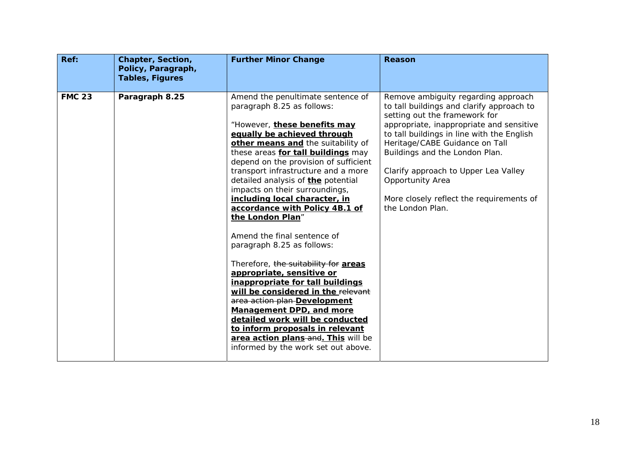| Ref:          | Chapter, Section,<br>Policy, Paragraph,<br><b>Tables, Figures</b> | <b>Further Minor Change</b>                                                                                                                                                                                                                                                                                                                                                                                                                                                                                                                                                                                                                                                                                                                                                                                                                                                                  | <b>Reason</b>                                                                                                                                                                                                                                                                                                                                                                                               |
|---------------|-------------------------------------------------------------------|----------------------------------------------------------------------------------------------------------------------------------------------------------------------------------------------------------------------------------------------------------------------------------------------------------------------------------------------------------------------------------------------------------------------------------------------------------------------------------------------------------------------------------------------------------------------------------------------------------------------------------------------------------------------------------------------------------------------------------------------------------------------------------------------------------------------------------------------------------------------------------------------|-------------------------------------------------------------------------------------------------------------------------------------------------------------------------------------------------------------------------------------------------------------------------------------------------------------------------------------------------------------------------------------------------------------|
| <b>FMC 23</b> | Paragraph 8.25                                                    | Amend the penultimate sentence of<br>paragraph 8.25 as follows:<br>"However, these benefits may<br>equally be achieved through<br>other means and the suitability of<br>these areas for tall buildings may<br>depend on the provision of sufficient<br>transport infrastructure and a more<br>detailed analysis of <b>the</b> potential<br>impacts on their surroundings,<br>including local character, in<br>accordance with Policy 4B.1 of<br>the London Plan"<br>Amend the final sentence of<br>paragraph 8.25 as follows:<br>Therefore, the suitability for areas<br>appropriate, sensitive or<br>inappropriate for tall buildings<br>will be considered in the relevant<br>area action plan-Development<br>Management DPD, and more<br>detailed work will be conducted<br>to inform proposals in relevant<br>area action plans and. This will be<br>informed by the work set out above. | Remove ambiguity regarding approach<br>to tall buildings and clarify approach to<br>setting out the framework for<br>appropriate, inappropriate and sensitive<br>to tall buildings in line with the English<br>Heritage/CABE Guidance on Tall<br>Buildings and the London Plan.<br>Clarify approach to Upper Lea Valley<br>Opportunity Area<br>More closely reflect the requirements of<br>the London Plan. |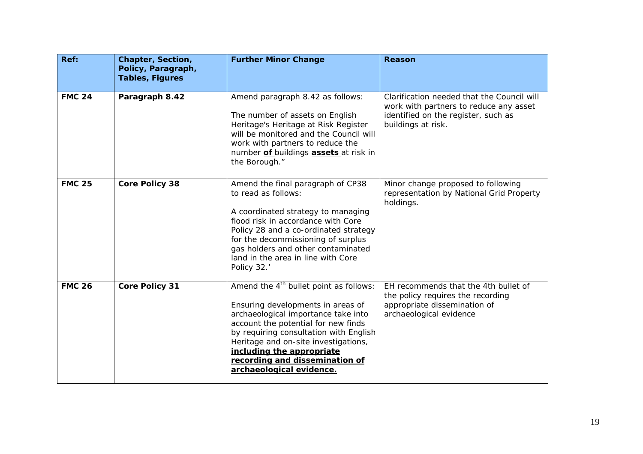| Ref:          | Chapter, Section,<br>Policy, Paragraph,<br><b>Tables, Figures</b> | <b>Further Minor Change</b>                                                                                                                                                                                                                                                                                                                        | <b>Reason</b>                                                                                                                                     |
|---------------|-------------------------------------------------------------------|----------------------------------------------------------------------------------------------------------------------------------------------------------------------------------------------------------------------------------------------------------------------------------------------------------------------------------------------------|---------------------------------------------------------------------------------------------------------------------------------------------------|
| <b>FMC 24</b> | Paragraph 8.42                                                    | Amend paragraph 8.42 as follows:<br>The number of assets on English<br>Heritage's Heritage at Risk Register<br>will be monitored and the Council will<br>work with partners to reduce the<br>number of buildings assets at risk in<br>the Borough."                                                                                                | Clarification needed that the Council will<br>work with partners to reduce any asset<br>identified on the register, such as<br>buildings at risk. |
| <b>FMC 25</b> | <b>Core Policy 38</b>                                             | Amend the final paragraph of CP38<br>to read as follows:<br>A coordinated strategy to managing<br>flood risk in accordance with Core<br>Policy 28 and a co-ordinated strategy<br>for the decommissioning of surplus<br>gas holders and other contaminated<br>land in the area in line with Core<br>Policy 32.'                                     | Minor change proposed to following<br>representation by National Grid Property<br>holdings.                                                       |
| <b>FMC 26</b> | <b>Core Policy 31</b>                                             | Amend the 4 <sup>th</sup> bullet point as follows:<br>Ensuring developments in areas of<br>archaeological importance take into<br>account the potential for new finds<br>by requiring consultation with English<br>Heritage and on-site investigations,<br>including the appropriate<br>recording and dissemination of<br>archaeological evidence. | EH recommends that the 4th bullet of<br>the policy requires the recording<br>appropriate dissemination of<br>archaeological evidence              |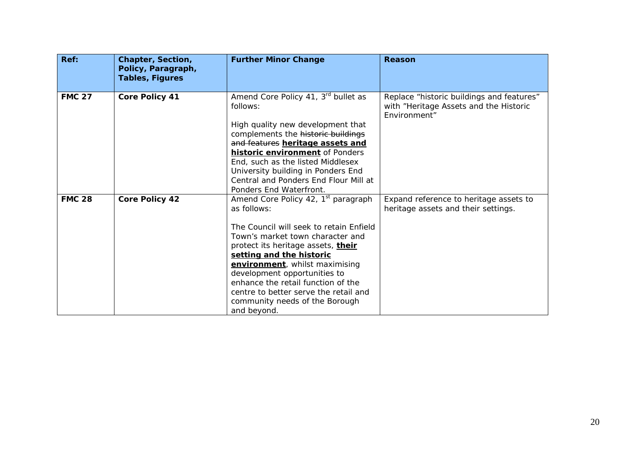| Ref:          | Chapter, Section,<br>Policy, Paragraph,<br><b>Tables, Figures</b> | <b>Further Minor Change</b>                                                                                                                                                                                                                                                                                                                                                                                       | Reason                                                                                              |
|---------------|-------------------------------------------------------------------|-------------------------------------------------------------------------------------------------------------------------------------------------------------------------------------------------------------------------------------------------------------------------------------------------------------------------------------------------------------------------------------------------------------------|-----------------------------------------------------------------------------------------------------|
| <b>FMC 27</b> | <b>Core Policy 41</b>                                             | Amend Core Policy 41, 3rd bullet as<br>follows:<br>High quality new development that<br>complements the historic buildings<br>and features heritage assets and<br><b>historic environment</b> of Ponders<br>End, such as the listed Middlesex<br>University building in Ponders End<br>Central and Ponders End Flour Mill at<br>Ponders End Waterfront.                                                           | Replace "historic buildings and features"<br>with "Heritage Assets and the Historic<br>Environment" |
| <b>FMC 28</b> | <b>Core Policy 42</b>                                             | Amend Core Policy 42, 1 <sup>st</sup> paragraph<br>as follows:<br>The Council will seek to retain Enfield<br>Town's market town character and<br>protect its heritage assets, their<br>setting and the historic<br>environment, whilst maximising<br>development opportunities to<br>enhance the retail function of the<br>centre to better serve the retail and<br>community needs of the Borough<br>and beyond. | Expand reference to heritage assets to<br>heritage assets and their settings.                       |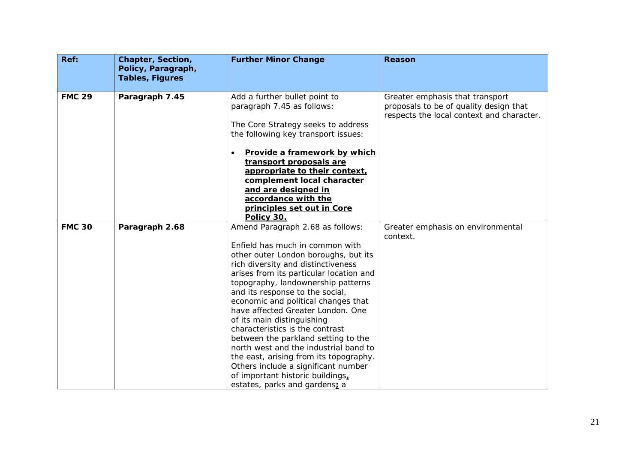| Ref:          | Chapter, Section,<br>Policy, Paragraph,<br><b>Tables, Figures</b> | <b>Further Minor Change</b>                                                                                                                                                                                                                                                                                                                                                                                                                                                                                                                                                                                                                              | <b>Reason</b>                                                                                                          |
|---------------|-------------------------------------------------------------------|----------------------------------------------------------------------------------------------------------------------------------------------------------------------------------------------------------------------------------------------------------------------------------------------------------------------------------------------------------------------------------------------------------------------------------------------------------------------------------------------------------------------------------------------------------------------------------------------------------------------------------------------------------|------------------------------------------------------------------------------------------------------------------------|
| <b>FMC 29</b> | Paragraph 7.45                                                    | Add a further bullet point to<br>paragraph 7.45 as follows:<br>The Core Strategy seeks to address<br>the following key transport issues:<br>Provide a framework by which<br>transport proposals are<br>appropriate to their context,<br>complement local character                                                                                                                                                                                                                                                                                                                                                                                       | Greater emphasis that transport<br>proposals to be of quality design that<br>respects the local context and character. |
|               |                                                                   | and are designed in<br>accordance with the<br>principles set out in Core<br>Policy 30.                                                                                                                                                                                                                                                                                                                                                                                                                                                                                                                                                                   |                                                                                                                        |
| <b>FMC 30</b> | Paragraph 2.68                                                    | Amend Paragraph 2.68 as follows:<br>Enfield has much in common with<br>other outer London boroughs, but its<br>rich diversity and distinctiveness<br>arises from its particular location and<br>topography, landownership patterns<br>and its response to the social,<br>economic and political changes that<br>have affected Greater London. One<br>of its main distinguishing<br>characteristics is the contrast<br>between the parkland setting to the<br>north west and the industrial band to<br>the east, arising from its topography.<br>Others include a significant number<br>of important historic buildings,<br>estates, parks and gardens; a | Greater emphasis on environmental<br>context.                                                                          |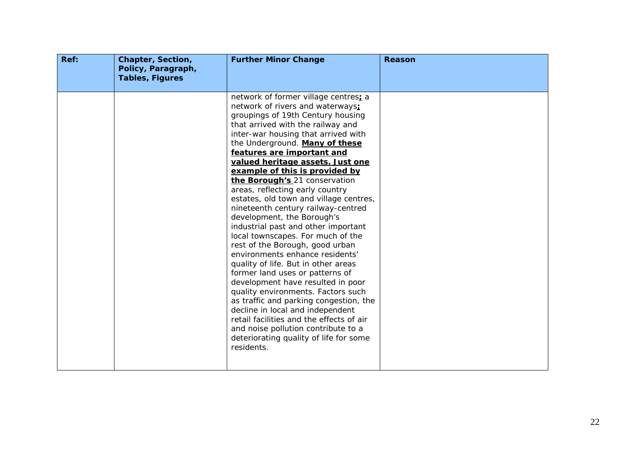| Ref: | Chapter, Section,<br>Policy, Paragraph,<br><b>Tables, Figures</b> | <b>Further Minor Change</b>                                                                                                                                                                                                                                                                                                                                                                                                                                                                                                                                                                                                                                                                                                                                                                                                                                                                                                                                                                                                                       | Reason |
|------|-------------------------------------------------------------------|---------------------------------------------------------------------------------------------------------------------------------------------------------------------------------------------------------------------------------------------------------------------------------------------------------------------------------------------------------------------------------------------------------------------------------------------------------------------------------------------------------------------------------------------------------------------------------------------------------------------------------------------------------------------------------------------------------------------------------------------------------------------------------------------------------------------------------------------------------------------------------------------------------------------------------------------------------------------------------------------------------------------------------------------------|--------|
|      |                                                                   | network of former village centres; a<br>network of rivers and waterways;<br>groupings of 19th Century housing<br>that arrived with the railway and<br>inter-war housing that arrived with<br>the Underground. Many of these<br>features are important and<br>valued heritage assets. Just one<br>example of this is provided by<br>the Borough's 21 conservation<br>areas, reflecting early country<br>estates, old town and village centres,<br>nineteenth century railway-centred<br>development, the Borough's<br>industrial past and other important<br>local townscapes. For much of the<br>rest of the Borough, good urban<br>environments enhance residents'<br>quality of life. But in other areas<br>former land uses or patterns of<br>development have resulted in poor<br>quality environments. Factors such<br>as traffic and parking congestion, the<br>decline in local and independent<br>retail facilities and the effects of air<br>and noise pollution contribute to a<br>deteriorating quality of life for some<br>residents. |        |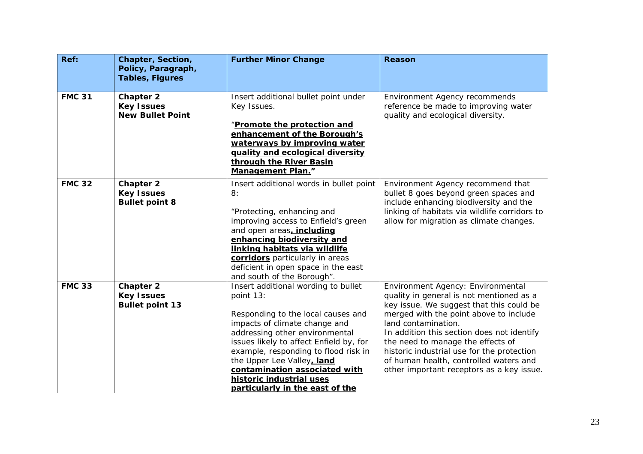| Ref:          | Chapter, Section,<br>Policy, Paragraph,<br><b>Tables, Figures</b> | <b>Further Minor Change</b>                                                                                             | <b>Reason</b>                                                                                              |
|---------------|-------------------------------------------------------------------|-------------------------------------------------------------------------------------------------------------------------|------------------------------------------------------------------------------------------------------------|
|               |                                                                   |                                                                                                                         |                                                                                                            |
| <b>FMC 31</b> | <b>Chapter 2</b><br><b>Key Issues</b><br><b>New Bullet Point</b>  | Insert additional bullet point under<br>Key Issues.                                                                     | Environment Agency recommends<br>reference be made to improving water<br>quality and ecological diversity. |
|               |                                                                   | "Promote the protection and<br>enhancement of the Borough's                                                             |                                                                                                            |
|               |                                                                   | waterways by improving water<br>quality and ecological diversity<br>through the River Basin<br><b>Management Plan."</b> |                                                                                                            |
| <b>FMC 32</b> | <b>Chapter 2</b><br><b>Key Issues</b>                             | Insert additional words in bullet point<br>8:                                                                           | Environment Agency recommend that<br>bullet 8 goes beyond green spaces and                                 |
|               | <b>Bullet point 8</b>                                             |                                                                                                                         | include enhancing biodiversity and the                                                                     |
|               |                                                                   | "Protecting, enhancing and                                                                                              | linking of habitats via wildlife corridors to                                                              |
|               |                                                                   | improving access to Enfield's green<br>and open areas, including                                                        | allow for migration as climate changes.                                                                    |
|               |                                                                   | enhancing biodiversity and                                                                                              |                                                                                                            |
|               |                                                                   | linking habitats via wildlife                                                                                           |                                                                                                            |
|               |                                                                   | corridors particularly in areas                                                                                         |                                                                                                            |
|               |                                                                   | deficient in open space in the east                                                                                     |                                                                                                            |
| <b>FMC 33</b> | <b>Chapter 2</b>                                                  | and south of the Borough".<br>Insert additional wording to bullet                                                       | Environment Agency: Environmental                                                                          |
|               | <b>Key Issues</b>                                                 | point 13:                                                                                                               | quality in general is not mentioned as a                                                                   |
|               | <b>Bullet point 13</b>                                            |                                                                                                                         | key issue. We suggest that this could be                                                                   |
|               |                                                                   | Responding to the local causes and                                                                                      | merged with the point above to include                                                                     |
|               |                                                                   | impacts of climate change and                                                                                           | land contamination.                                                                                        |
|               |                                                                   | addressing other environmental                                                                                          | In addition this section does not identify                                                                 |
|               |                                                                   | issues likely to affect Enfield by, for                                                                                 | the need to manage the effects of                                                                          |
|               |                                                                   | example, responding to flood risk in<br>the Upper Lee Valley, land                                                      | historic industrial use for the protection<br>of human health, controlled waters and                       |
|               |                                                                   | contamination associated with                                                                                           | other important receptors as a key issue.                                                                  |
|               |                                                                   | historic industrial uses                                                                                                |                                                                                                            |
|               |                                                                   | particularly in the east of the                                                                                         |                                                                                                            |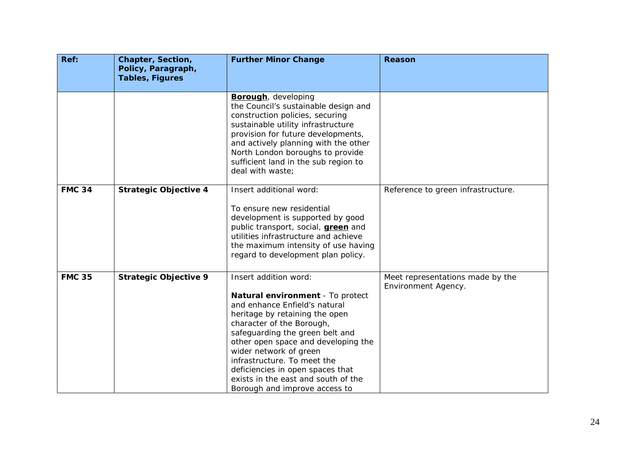| Ref:          | Chapter, Section,<br>Policy, Paragraph, | <b>Further Minor Change</b>                                                                                                                                                                                                                                                                                                                                                                              | <b>Reason</b>                                           |
|---------------|-----------------------------------------|----------------------------------------------------------------------------------------------------------------------------------------------------------------------------------------------------------------------------------------------------------------------------------------------------------------------------------------------------------------------------------------------------------|---------------------------------------------------------|
|               | <b>Tables, Figures</b>                  |                                                                                                                                                                                                                                                                                                                                                                                                          |                                                         |
|               |                                         | <b>Borough</b> , developing<br>the Council's sustainable design and<br>construction policies, securing<br>sustainable utility infrastructure<br>provision for future developments,<br>and actively planning with the other<br>North London boroughs to provide<br>sufficient land in the sub region to<br>deal with waste;                                                                               |                                                         |
| <b>FMC 34</b> | <b>Strategic Objective 4</b>            | Insert additional word:<br>To ensure new residential<br>development is supported by good<br>public transport, social, <b>green</b> and<br>utilities infrastructure and achieve<br>the maximum intensity of use having<br>regard to development plan policy.                                                                                                                                              | Reference to green infrastructure.                      |
| <b>FMC 35</b> | <b>Strategic Objective 9</b>            | Insert addition word:<br>Natural environment - To protect<br>and enhance Enfield's natural<br>heritage by retaining the open<br>character of the Borough,<br>safeguarding the green belt and<br>other open space and developing the<br>wider network of green<br>infrastructure. To meet the<br>deficiencies in open spaces that<br>exists in the east and south of the<br>Borough and improve access to | Meet representations made by the<br>Environment Agency. |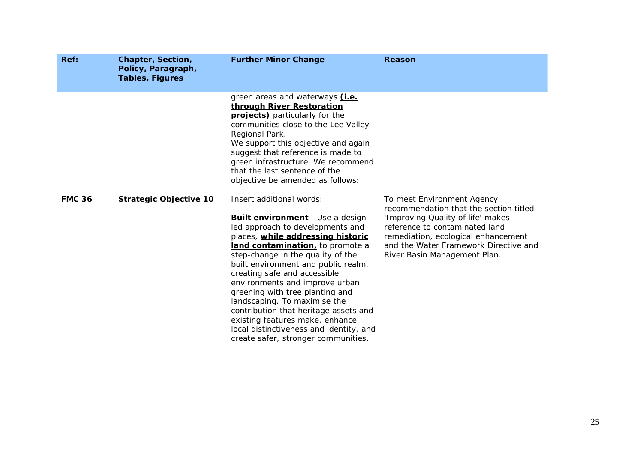| Ref:          | <b>Chapter, Section,</b><br>Policy, Paragraph,<br><b>Tables, Figures</b> | <b>Further Minor Change</b>                                                                                                                                                                                                                                                                                                                                                                                                                                                                                                                               | <b>Reason</b>                                                                                                                                                                                                                                               |
|---------------|--------------------------------------------------------------------------|-----------------------------------------------------------------------------------------------------------------------------------------------------------------------------------------------------------------------------------------------------------------------------------------------------------------------------------------------------------------------------------------------------------------------------------------------------------------------------------------------------------------------------------------------------------|-------------------------------------------------------------------------------------------------------------------------------------------------------------------------------------------------------------------------------------------------------------|
|               |                                                                          | green areas and waterways (i.e.<br>through River Restoration<br>projects) particularly for the<br>communities close to the Lee Valley<br>Regional Park.<br>We support this objective and again<br>suggest that reference is made to<br>green infrastructure. We recommend<br>that the last sentence of the<br>objective be amended as follows:                                                                                                                                                                                                            |                                                                                                                                                                                                                                                             |
| <b>FMC 36</b> | <b>Strategic Objective 10</b>                                            | Insert additional words:<br>Built environment - Use a design-<br>led approach to developments and<br>places, while addressing historic<br>land contamination, to promote a<br>step-change in the quality of the<br>built environment and public realm,<br>creating safe and accessible<br>environments and improve urban<br>greening with tree planting and<br>landscaping. To maximise the<br>contribution that heritage assets and<br>existing features make, enhance<br>local distinctiveness and identity, and<br>create safer, stronger communities. | To meet Environment Agency<br>recommendation that the section titled<br>'Improving Quality of life' makes<br>reference to contaminated land<br>remediation, ecological enhancement<br>and the Water Framework Directive and<br>River Basin Management Plan. |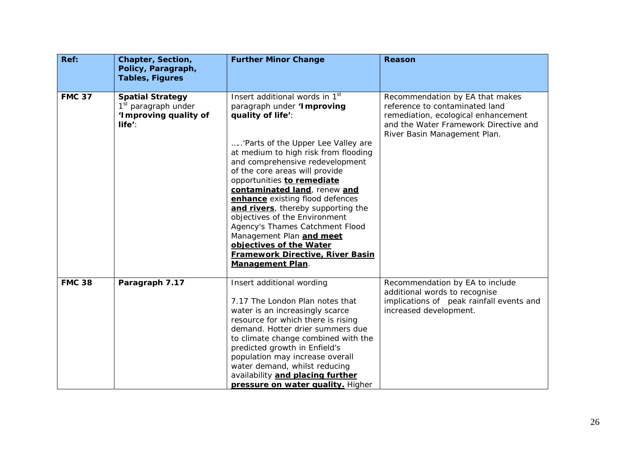| Ref:          | Chapter, Section,<br>Policy, Paragraph,<br><b>Tables, Figures</b>                             | <b>Further Minor Change</b>                                                                                                                                                                                                                                                                                                                                                                                                                                                                                                                                                              | Reason                                                                                                                                                                            |
|---------------|-----------------------------------------------------------------------------------------------|------------------------------------------------------------------------------------------------------------------------------------------------------------------------------------------------------------------------------------------------------------------------------------------------------------------------------------------------------------------------------------------------------------------------------------------------------------------------------------------------------------------------------------------------------------------------------------------|-----------------------------------------------------------------------------------------------------------------------------------------------------------------------------------|
| <b>FMC 37</b> | <b>Spatial Strategy</b><br>1 <sup>st</sup> paragraph under<br>'Improving quality of<br>life': | Insert additional words in 1 <sup>st</sup><br>paragraph under 'Improving<br>quality of life':<br>'Parts of the Upper Lee Valley are<br>at medium to high risk from flooding<br>and comprehensive redevelopment<br>of the core areas will provide<br>opportunities to remediate<br>contaminated land, renew and<br>enhance existing flood defences<br>and rivers, thereby supporting the<br>objectives of the Environment<br>Agency's Thames Catchment Flood<br>Management Plan and meet<br>objectives of the Water<br><b>Framework Directive, River Basin</b><br><b>Management Plan.</b> | Recommendation by EA that makes<br>reference to contaminated land<br>remediation, ecological enhancement<br>and the Water Framework Directive and<br>River Basin Management Plan. |
| <b>FMC 38</b> | Paragraph 7.17                                                                                | Insert additional wording<br>7.17 The London Plan notes that<br>water is an increasingly scarce<br>resource for which there is rising<br>demand. Hotter drier summers due<br>to climate change combined with the<br>predicted growth in Enfield's<br>population may increase overall<br>water demand, whilst reducing<br>availability and placing further<br>pressure on water quality. Higher                                                                                                                                                                                           | Recommendation by EA to include<br>additional words to recognise<br>implications of peak rainfall events and<br>increased development.                                            |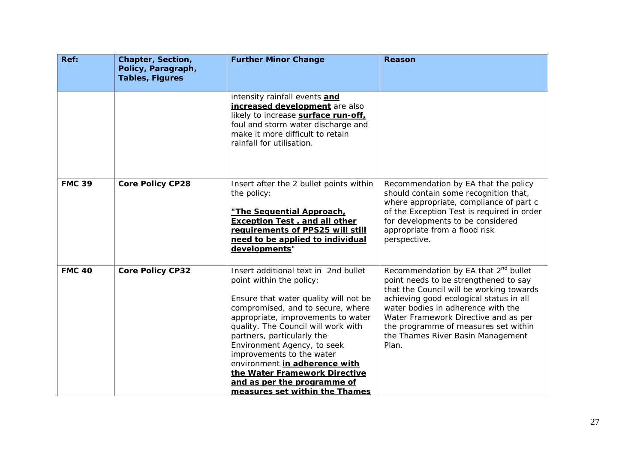| Ref:          | Chapter, Section,<br>Policy, Paragraph, | <b>Further Minor Change</b>                                                                                                                                                                                                                                                                                                                                                                                                                              | <b>Reason</b>                                                                                                                                                                                                                                                                                                                                        |
|---------------|-----------------------------------------|----------------------------------------------------------------------------------------------------------------------------------------------------------------------------------------------------------------------------------------------------------------------------------------------------------------------------------------------------------------------------------------------------------------------------------------------------------|------------------------------------------------------------------------------------------------------------------------------------------------------------------------------------------------------------------------------------------------------------------------------------------------------------------------------------------------------|
|               | <b>Tables, Figures</b>                  |                                                                                                                                                                                                                                                                                                                                                                                                                                                          |                                                                                                                                                                                                                                                                                                                                                      |
|               |                                         | intensity rainfall events and<br>increased development are also<br>likely to increase surface run-off,<br>foul and storm water discharge and<br>make it more difficult to retain<br>rainfall for utilisation.                                                                                                                                                                                                                                            |                                                                                                                                                                                                                                                                                                                                                      |
| <b>FMC 39</b> | <b>Core Policy CP28</b>                 | Insert after the 2 bullet points within<br>the policy:<br>"The Sequential Approach,<br><b>Exception Test, and all other</b><br>requirements of PPS25 will still<br>need to be applied to individual<br>developments"                                                                                                                                                                                                                                     | Recommendation by EA that the policy<br>should contain some recognition that,<br>where appropriate, compliance of part c<br>of the Exception Test is required in order<br>for developments to be considered<br>appropriate from a flood risk<br>perspective.                                                                                         |
| <b>FMC 40</b> | <b>Core Policy CP32</b>                 | Insert additional text in 2nd bullet<br>point within the policy:<br>Ensure that water quality will not be<br>compromised, and to secure, where<br>appropriate, improvements to water<br>quality. The Council will work with<br>partners, particularly the<br>Environment Agency, to seek<br>improvements to the water<br>environment in adherence with<br>the Water Framework Directive<br>and as per the programme of<br>measures set within the Thames | Recommendation by EA that 2 <sup>nd</sup> bullet<br>point needs to be strengthened to say<br>that the Council will be working towards<br>achieving good ecological status in all<br>water bodies in adherence with the<br>Water Framework Directive and as per<br>the programme of measures set within<br>the Thames River Basin Management<br>Plan. |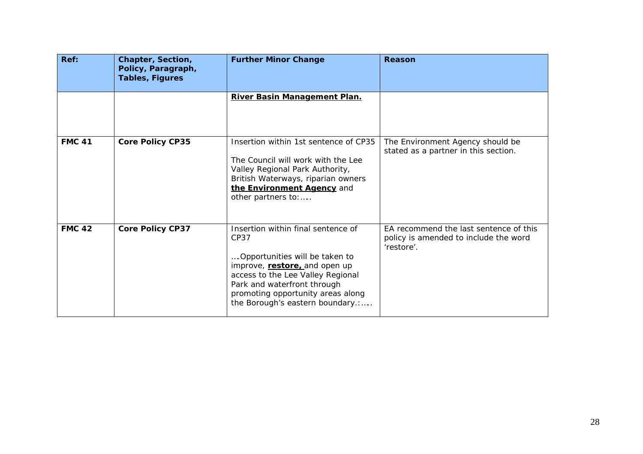| Ref:          | Chapter, Section,<br>Policy, Paragraph,<br><b>Tables, Figures</b> | <b>Further Minor Change</b>                                                                                                                                                                                                                                | Reason                                                                                        |
|---------------|-------------------------------------------------------------------|------------------------------------------------------------------------------------------------------------------------------------------------------------------------------------------------------------------------------------------------------------|-----------------------------------------------------------------------------------------------|
|               |                                                                   | River Basin Management Plan.                                                                                                                                                                                                                               |                                                                                               |
| <b>FMC 41</b> | <b>Core Policy CP35</b>                                           | Insertion within 1st sentence of CP35<br>The Council will work with the Lee<br>Valley Regional Park Authority,<br>British Waterways, riparian owners<br>the Environment Agency and<br>other partners to:                                                   | The Environment Agency should be<br>stated as a partner in this section.                      |
| <b>FMC 42</b> | <b>Core Policy CP37</b>                                           | Insertion within final sentence of<br>CP37<br>Opportunities will be taken to<br>improve, restore, and open up<br>access to the Lee Valley Regional<br>Park and waterfront through<br>promoting opportunity areas along<br>the Borough's eastern boundary.: | EA recommend the last sentence of this<br>policy is amended to include the word<br>'restore'. |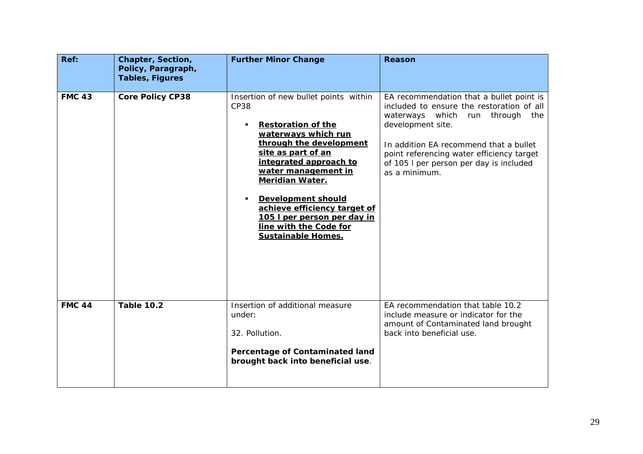| Ref:          | Chapter, Section,<br>Policy, Paragraph,<br><b>Tables, Figures</b> | <b>Further Minor Change</b>                                                                                                                                                                                                                                                                                                                                                             | Reason                                                                                                                                                                                                                                                                                              |
|---------------|-------------------------------------------------------------------|-----------------------------------------------------------------------------------------------------------------------------------------------------------------------------------------------------------------------------------------------------------------------------------------------------------------------------------------------------------------------------------------|-----------------------------------------------------------------------------------------------------------------------------------------------------------------------------------------------------------------------------------------------------------------------------------------------------|
| <b>FMC 43</b> | <b>Core Policy CP38</b>                                           | Insertion of new bullet points within<br><b>CP38</b><br><b>Restoration of the</b><br>waterways which run<br>through the development<br>site as part of an<br>integrated approach to<br>water management in<br><b>Meridian Water.</b><br><b>Development should</b><br>achieve efficiency target of<br>105 I per person per day in<br>line with the Code for<br><b>Sustainable Homes.</b> | EA recommendation that a bullet point is<br>included to ensure the restoration of all<br>waterways which run through<br>the<br>development site.<br>In addition EA recommend that a bullet<br>point referencing water efficiency target<br>of 105 I per person per day is included<br>as a minimum. |
| <b>FMC 44</b> | <b>Table 10.2</b>                                                 | Insertion of additional measure<br>under:<br>32. Pollution.<br>Percentage of Contaminated land<br>brought back into beneficial use.                                                                                                                                                                                                                                                     | EA recommendation that table 10.2<br>include measure or indicator for the<br>amount of Contaminated land brought<br>back into beneficial use.                                                                                                                                                       |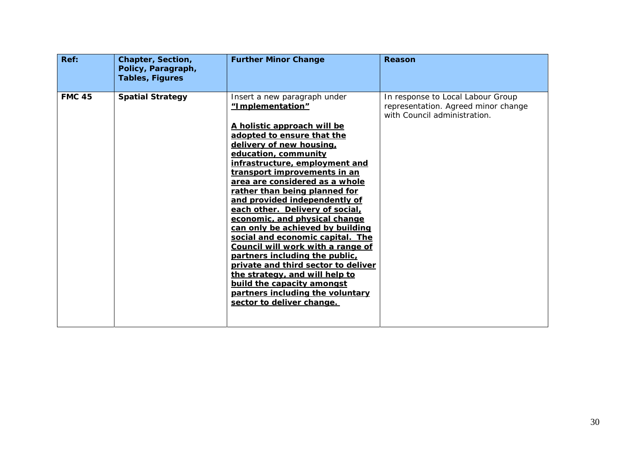| Ref:          | Chapter, Section,<br>Policy, Paragraph,<br><b>Tables, Figures</b> | <b>Further Minor Change</b>                                                                                                                                                                                                                                                                                                                                                                                                                                                                                                                                                                                                                                                                                                        | Reason                                                                                                   |
|---------------|-------------------------------------------------------------------|------------------------------------------------------------------------------------------------------------------------------------------------------------------------------------------------------------------------------------------------------------------------------------------------------------------------------------------------------------------------------------------------------------------------------------------------------------------------------------------------------------------------------------------------------------------------------------------------------------------------------------------------------------------------------------------------------------------------------------|----------------------------------------------------------------------------------------------------------|
| <b>FMC 45</b> | <b>Spatial Strategy</b>                                           | Insert a new paragraph under<br>"Implementation"<br>A holistic approach will be<br>adopted to ensure that the<br>delivery of new housing,<br>education, community<br>infrastructure, employment and<br>transport improvements in an<br>area are considered as a whole<br>rather than being planned for<br>and provided independently of<br>each other. Delivery of social,<br>economic, and physical change<br>can only be achieved by building<br>social and economic capital. The<br>Council will work with a range of<br>partners including the public,<br>private and third sector to deliver<br>the strategy, and will help to<br>build the capacity amongst<br>partners including the voluntary<br>sector to deliver change. | In response to Local Labour Group<br>representation. Agreed minor change<br>with Council administration. |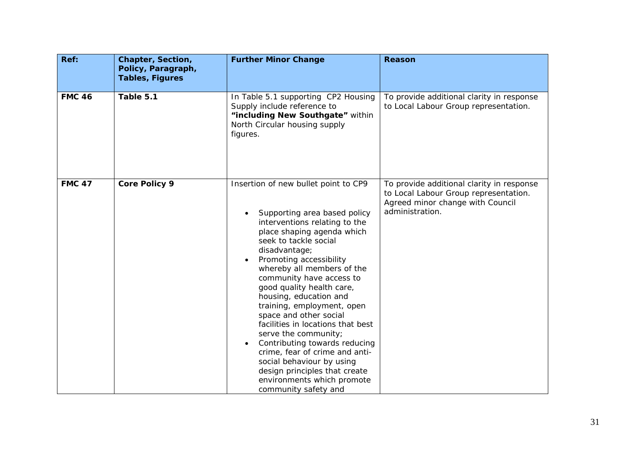| Ref:          | Chapter, Section,<br>Policy, Paragraph,<br><b>Tables, Figures</b> | <b>Further Minor Change</b>                                                                                                                                                                                                                                                                                                                                                                                                                                                                                                                                                                                                           | <b>Reason</b>                                                                                                                             |
|---------------|-------------------------------------------------------------------|---------------------------------------------------------------------------------------------------------------------------------------------------------------------------------------------------------------------------------------------------------------------------------------------------------------------------------------------------------------------------------------------------------------------------------------------------------------------------------------------------------------------------------------------------------------------------------------------------------------------------------------|-------------------------------------------------------------------------------------------------------------------------------------------|
| <b>FMC 46</b> | Table 5.1                                                         | In Table 5.1 supporting CP2 Housing<br>Supply include reference to<br>"including New Southgate" within<br>North Circular housing supply<br>figures.                                                                                                                                                                                                                                                                                                                                                                                                                                                                                   | To provide additional clarity in response<br>to Local Labour Group representation.                                                        |
| <b>FMC 47</b> | <b>Core Policy 9</b>                                              | Insertion of new bullet point to CP9<br>Supporting area based policy<br>interventions relating to the<br>place shaping agenda which<br>seek to tackle social<br>disadvantage;<br>Promoting accessibility<br>whereby all members of the<br>community have access to<br>good quality health care,<br>housing, education and<br>training, employment, open<br>space and other social<br>facilities in locations that best<br>serve the community;<br>Contributing towards reducing<br>crime, fear of crime and anti-<br>social behaviour by using<br>design principles that create<br>environments which promote<br>community safety and | To provide additional clarity in response<br>to Local Labour Group representation.<br>Agreed minor change with Council<br>administration. |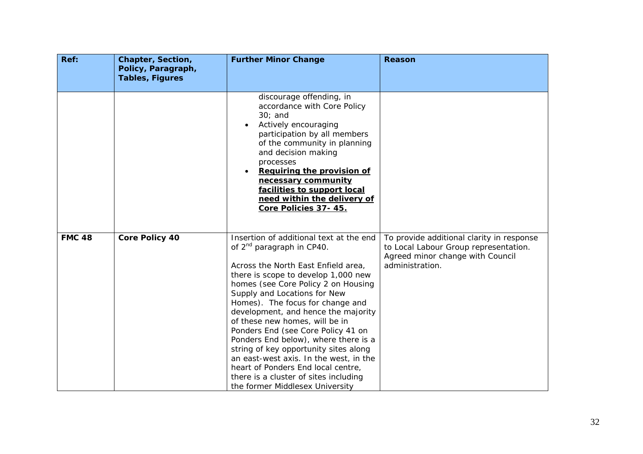| Ref:          | Chapter, Section,<br>Policy, Paragraph,<br><b>Tables, Figures</b> | <b>Further Minor Change</b>                                                                                                                                                                                                                                                                                                                                                                                                                                                                                                                                                                                                           | <b>Reason</b>                                                                                                                             |
|---------------|-------------------------------------------------------------------|---------------------------------------------------------------------------------------------------------------------------------------------------------------------------------------------------------------------------------------------------------------------------------------------------------------------------------------------------------------------------------------------------------------------------------------------------------------------------------------------------------------------------------------------------------------------------------------------------------------------------------------|-------------------------------------------------------------------------------------------------------------------------------------------|
|               |                                                                   |                                                                                                                                                                                                                                                                                                                                                                                                                                                                                                                                                                                                                                       |                                                                                                                                           |
|               |                                                                   | discourage offending, in<br>accordance with Core Policy<br>$30;$ and<br>Actively encouraging<br>participation by all members<br>of the community in planning<br>and decision making<br>processes<br>Requiring the provision of<br>necessary community<br>facilities to support local<br>need within the delivery of<br>Core Policies 37-45.                                                                                                                                                                                                                                                                                           |                                                                                                                                           |
| <b>FMC 48</b> | <b>Core Policy 40</b>                                             | Insertion of additional text at the end<br>of 2 <sup>nd</sup> paragraph in CP40.<br>Across the North East Enfield area,<br>there is scope to develop 1,000 new<br>homes (see Core Policy 2 on Housing<br>Supply and Locations for New<br>Homes). The focus for change and<br>development, and hence the majority<br>of these new homes, will be in<br>Ponders End (see Core Policy 41 on<br>Ponders End below), where there is a<br>string of key opportunity sites along<br>an east-west axis. In the west, in the<br>heart of Ponders End local centre,<br>there is a cluster of sites including<br>the former Middlesex University | To provide additional clarity in response<br>to Local Labour Group representation.<br>Agreed minor change with Council<br>administration. |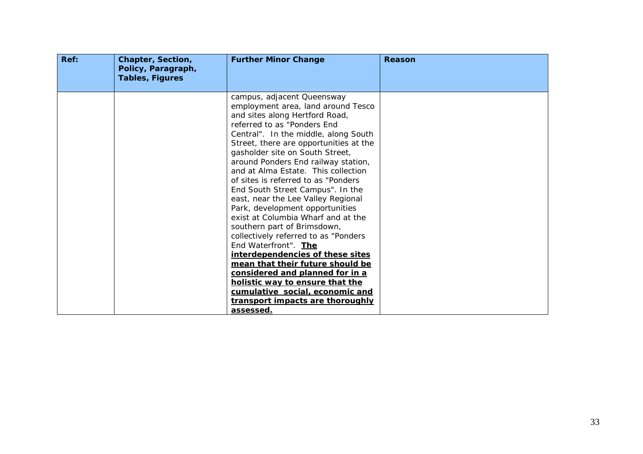| Ref: | Chapter, Section,<br>Policy, Paragraph,<br><b>Tables, Figures</b> | <b>Further Minor Change</b>                                                                                                                                                                                                                                                                                                                                                                                                                                                                                                                                                                                                                                                                                                                                                                                                                                      | Reason |
|------|-------------------------------------------------------------------|------------------------------------------------------------------------------------------------------------------------------------------------------------------------------------------------------------------------------------------------------------------------------------------------------------------------------------------------------------------------------------------------------------------------------------------------------------------------------------------------------------------------------------------------------------------------------------------------------------------------------------------------------------------------------------------------------------------------------------------------------------------------------------------------------------------------------------------------------------------|--------|
|      |                                                                   | campus, adjacent Queensway<br>employment area, land around Tesco<br>and sites along Hertford Road,<br>referred to as "Ponders End<br>Central". In the middle, along South<br>Street, there are opportunities at the<br>gasholder site on South Street,<br>around Ponders End railway station,<br>and at Alma Estate. This collection<br>of sites is referred to as "Ponders"<br>End South Street Campus". In the<br>east, near the Lee Valley Regional<br>Park, development opportunities<br>exist at Columbia Wharf and at the<br>southern part of Brimsdown,<br>collectively referred to as "Ponders<br>End Waterfront". The<br>interdependencies of these sites<br>mean that their future should be<br>considered and planned for in a<br>holistic way to ensure that the<br>cumulative social, economic and<br>transport impacts are thoroughly<br>assessed. |        |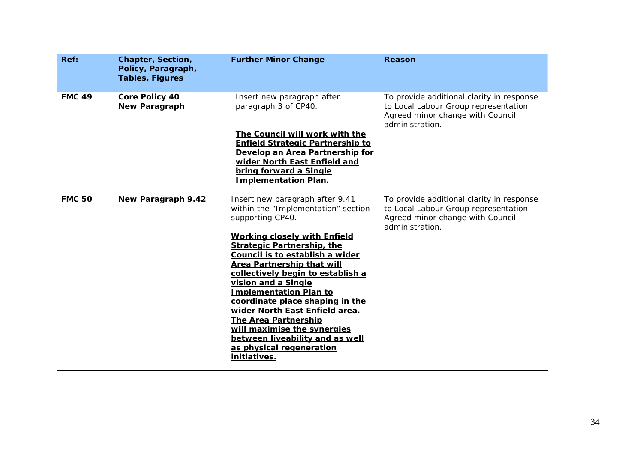| Ref:          | Chapter, Section,<br>Policy, Paragraph,<br><b>Tables, Figures</b> | <b>Further Minor Change</b>                                                                                                                                                                           | <b>Reason</b>                                                                                                                             |
|---------------|-------------------------------------------------------------------|-------------------------------------------------------------------------------------------------------------------------------------------------------------------------------------------------------|-------------------------------------------------------------------------------------------------------------------------------------------|
| <b>FMC 49</b> | <b>Core Policy 40</b><br><b>New Paragraph</b>                     | Insert new paragraph after<br>paragraph 3 of CP40.                                                                                                                                                    | To provide additional clarity in response<br>to Local Labour Group representation.<br>Agreed minor change with Council<br>administration. |
|               |                                                                   | The Council will work with the<br><b>Enfield Strategic Partnership to</b><br>Develop an Area Partnership for<br>wider North East Enfield and<br>bring forward a Single<br><b>Implementation Plan.</b> |                                                                                                                                           |
| <b>FMC 50</b> | New Paragraph 9.42                                                | Insert new paragraph after 9.41<br>within the "Implementation" section<br>supporting CP40.                                                                                                            | To provide additional clarity in response<br>to Local Labour Group representation.<br>Agreed minor change with Council<br>administration. |
|               |                                                                   | <b>Working closely with Enfield</b><br><b>Strategic Partnership, the</b>                                                                                                                              |                                                                                                                                           |
|               |                                                                   | Council is to establish a wider<br><b>Area Partnership that will</b><br>collectively begin to establish a                                                                                             |                                                                                                                                           |
|               |                                                                   | vision and a Single<br><b>Implementation Plan to</b>                                                                                                                                                  |                                                                                                                                           |
|               |                                                                   | coordinate place shaping in the<br>wider North East Enfield area.<br><b>The Area Partnership</b>                                                                                                      |                                                                                                                                           |
|               |                                                                   | will maximise the synergies<br>between liveability and as well<br>as physical regeneration<br>initiatives.                                                                                            |                                                                                                                                           |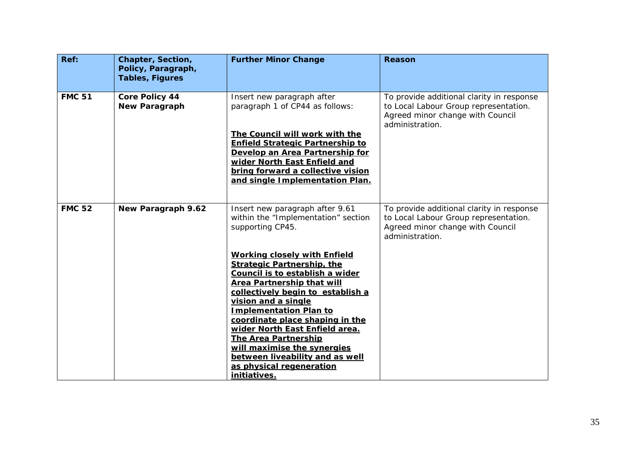| Ref:          | Chapter, Section,<br>Policy, Paragraph,<br><b>Tables, Figures</b> | <b>Further Minor Change</b>                                                                                                                                                                                                                                                                                                                                                                                                                                                                                                                                   | Reason                                                                                                                                    |
|---------------|-------------------------------------------------------------------|---------------------------------------------------------------------------------------------------------------------------------------------------------------------------------------------------------------------------------------------------------------------------------------------------------------------------------------------------------------------------------------------------------------------------------------------------------------------------------------------------------------------------------------------------------------|-------------------------------------------------------------------------------------------------------------------------------------------|
| <b>FMC 51</b> | Core Policy 44<br>New Paragraph                                   | Insert new paragraph after<br>paragraph 1 of CP44 as follows:<br>The Council will work with the<br><b>Enfield Strategic Partnership to</b><br>Develop an Area Partnership for<br>wider North East Enfield and<br>bring forward a collective vision<br>and single Implementation Plan.                                                                                                                                                                                                                                                                         | To provide additional clarity in response<br>to Local Labour Group representation.<br>Agreed minor change with Council<br>administration. |
| <b>FMC 52</b> | New Paragraph 9.62                                                | Insert new paragraph after 9.61<br>within the "Implementation" section<br>supporting CP45.<br><b>Working closely with Enfield</b><br><b>Strategic Partnership, the</b><br>Council is to establish a wider<br><b>Area Partnership that will</b><br>collectively begin to establish a<br>vision and a single<br><b>Implementation Plan to</b><br>coordinate place shaping in the<br>wider North East Enfield area.<br><b>The Area Partnership</b><br>will maximise the synergies<br>between liveability and as well<br>as physical regeneration<br>initiatives. | To provide additional clarity in response<br>to Local Labour Group representation.<br>Agreed minor change with Council<br>administration. |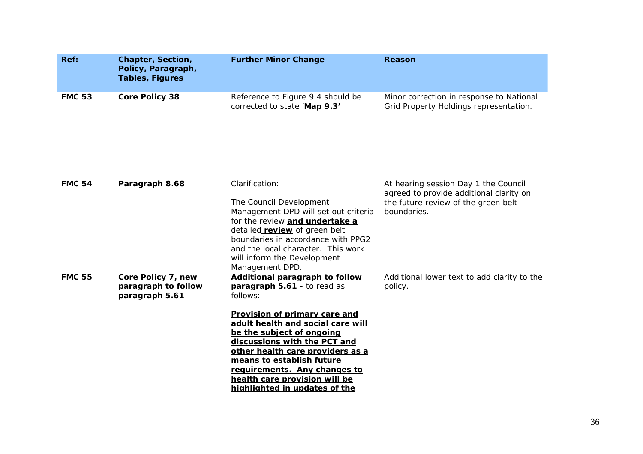| Ref:          | Chapter, Section,<br>Policy, Paragraph,<br><b>Tables, Figures</b> | <b>Further Minor Change</b>                                                                                                                                                                                                                                                                                                                                                     | <b>Reason</b>                                                                                                                         |
|---------------|-------------------------------------------------------------------|---------------------------------------------------------------------------------------------------------------------------------------------------------------------------------------------------------------------------------------------------------------------------------------------------------------------------------------------------------------------------------|---------------------------------------------------------------------------------------------------------------------------------------|
| <b>FMC 53</b> | <b>Core Policy 38</b>                                             | Reference to Figure 9.4 should be<br>corrected to state 'Map 9.3'                                                                                                                                                                                                                                                                                                               | Minor correction in response to National<br>Grid Property Holdings representation.                                                    |
| <b>FMC 54</b> | Paragraph 8.68                                                    | Clarification:<br>The Council Development<br>Management DPD will set out criteria<br>for the review and undertake a<br>detailed <b>review</b> of green belt<br>boundaries in accordance with PPG2<br>and the local character. This work<br>will inform the Development<br>Management DPD.                                                                                       | At hearing session Day 1 the Council<br>agreed to provide additional clarity on<br>the future review of the green belt<br>boundaries. |
| <b>FMC 55</b> | Core Policy 7, new<br>paragraph to follow<br>paragraph 5.61       | Additional paragraph to follow<br>paragraph 5.61 - to read as<br>follows:<br>Provision of primary care and<br>adult health and social care will<br>be the subject of ongoing<br>discussions with the PCT and<br>other health care providers as a<br>means to establish future<br>requirements. Any changes to<br>health care provision will be<br>highlighted in updates of the | Additional lower text to add clarity to the<br>policy.                                                                                |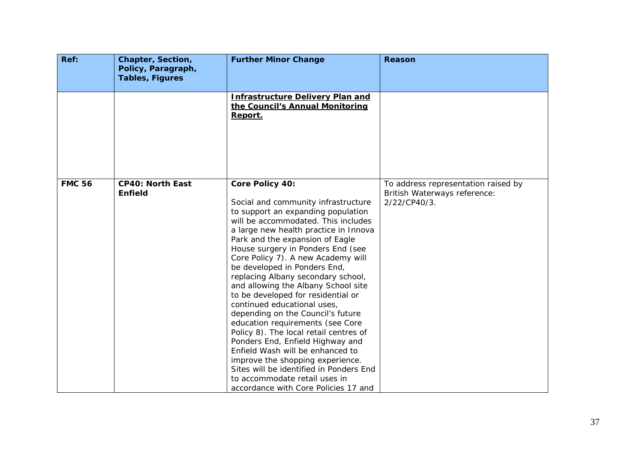| Ref:          | Chapter, Section,<br>Policy, Paragraph,   | <b>Further Minor Change</b>                                                                                                                                                                                                                                                                                                                                                                                                                                                                                                                                                                                                                                                                                                                                                                                                     | <b>Reason</b>                                                                       |
|---------------|-------------------------------------------|---------------------------------------------------------------------------------------------------------------------------------------------------------------------------------------------------------------------------------------------------------------------------------------------------------------------------------------------------------------------------------------------------------------------------------------------------------------------------------------------------------------------------------------------------------------------------------------------------------------------------------------------------------------------------------------------------------------------------------------------------------------------------------------------------------------------------------|-------------------------------------------------------------------------------------|
|               | <b>Tables, Figures</b>                    |                                                                                                                                                                                                                                                                                                                                                                                                                                                                                                                                                                                                                                                                                                                                                                                                                                 |                                                                                     |
|               |                                           | <b>Infrastructure Delivery Plan and</b><br>the Council's Annual Monitoring<br>Report.                                                                                                                                                                                                                                                                                                                                                                                                                                                                                                                                                                                                                                                                                                                                           |                                                                                     |
| <b>FMC 56</b> | <b>CP40: North East</b><br><b>Enfield</b> | Core Policy 40:<br>Social and community infrastructure<br>to support an expanding population<br>will be accommodated. This includes<br>a large new health practice in Innova<br>Park and the expansion of Eagle<br>House surgery in Ponders End (see<br>Core Policy 7). A new Academy will<br>be developed in Ponders End,<br>replacing Albany secondary school,<br>and allowing the Albany School site<br>to be developed for residential or<br>continued educational uses,<br>depending on the Council's future<br>education requirements (see Core<br>Policy 8). The local retail centres of<br>Ponders End, Enfield Highway and<br>Enfield Wash will be enhanced to<br>improve the shopping experience.<br>Sites will be identified in Ponders End<br>to accommodate retail uses in<br>accordance with Core Policies 17 and | To address representation raised by<br>British Waterways reference:<br>2/22/CP40/3. |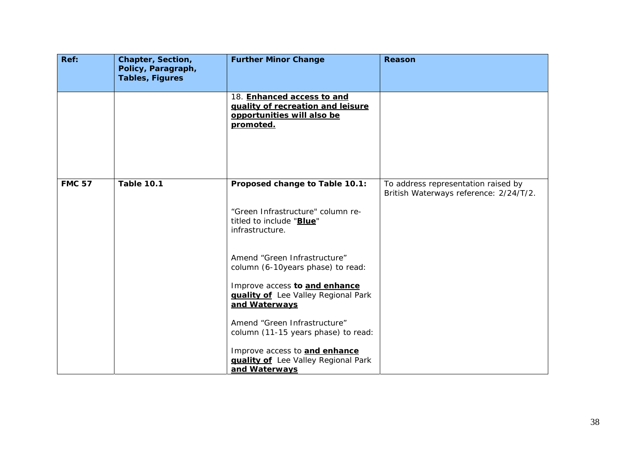| Ref:          | Chapter, Section,<br>Policy, Paragraph,<br><b>Tables, Figures</b> | <b>Further Minor Change</b>                                                                                                                                                | <b>Reason</b>                                                                 |
|---------------|-------------------------------------------------------------------|----------------------------------------------------------------------------------------------------------------------------------------------------------------------------|-------------------------------------------------------------------------------|
|               |                                                                   | 18. Enhanced access to and<br>guality of recreation and leisure<br>opportunities will also be<br>promoted.                                                                 |                                                                               |
| <b>FMC 57</b> | <b>Table 10.1</b>                                                 | Proposed change to Table 10.1:<br>"Green Infrastructure" column re-<br>titled to include "Blue"<br>infrastructure.                                                         | To address representation raised by<br>British Waterways reference: 2/24/T/2. |
|               |                                                                   | Amend "Green Infrastructure"<br>column (6-10years phase) to read:<br>Improve access to and enhance<br><b>guality of</b> Lee Valley Regional Park<br>and Waterways          |                                                                               |
|               |                                                                   | Amend "Green Infrastructure"<br>column (11-15 years phase) to read:<br>Improve access to <b>and enhance</b><br><b>guality of</b> Lee Valley Regional Park<br>and Waterways |                                                                               |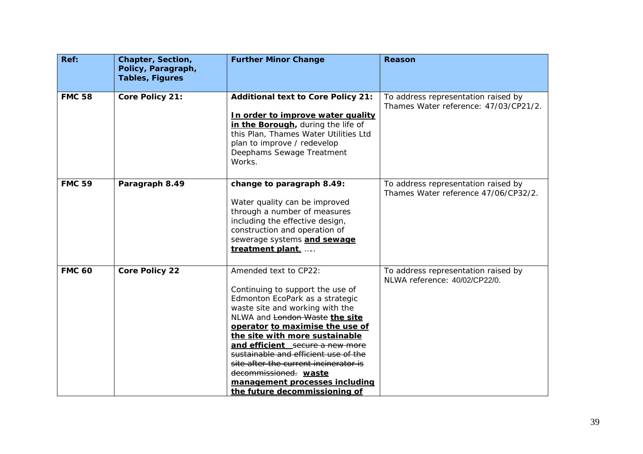| Ref:          | Chapter, Section,<br>Policy, Paragraph, | <b>Further Minor Change</b>                                                                                                                                                                                                                                                                                                                                                                                                                            | <b>Reason</b>                                                                |
|---------------|-----------------------------------------|--------------------------------------------------------------------------------------------------------------------------------------------------------------------------------------------------------------------------------------------------------------------------------------------------------------------------------------------------------------------------------------------------------------------------------------------------------|------------------------------------------------------------------------------|
|               | <b>Tables, Figures</b>                  |                                                                                                                                                                                                                                                                                                                                                                                                                                                        |                                                                              |
| <b>FMC 58</b> | Core Policy 21:                         | <b>Additional text to Core Policy 21:</b><br>In order to improve water quality<br>in the Borough, during the life of<br>this Plan, Thames Water Utilities Ltd<br>plan to improve / redevelop<br>Deephams Sewage Treatment<br>Works.                                                                                                                                                                                                                    | To address representation raised by<br>Thames Water reference: 47/03/CP21/2. |
| <b>FMC 59</b> | Paragraph 8.49                          | change to paragraph 8.49:<br>Water quality can be improved<br>through a number of measures<br>including the effective design,<br>construction and operation of<br>sewerage systems and sewage<br>treatment plant,                                                                                                                                                                                                                                      | To address representation raised by<br>Thames Water reference 47/06/CP32/2.  |
| <b>FMC 60</b> | <b>Core Policy 22</b>                   | Amended text to CP22:<br>Continuing to support the use of<br>Edmonton EcoPark as a strategic<br>waste site and working with the<br>NLWA and London Waste the site<br>operator to maximise the use of<br>the site with more sustainable<br>and efficient secure a new more<br>sustainable and efficient use of the<br>site after the current incinerator is<br>decommissioned. waste<br>management processes including<br>the future decommissioning of | To address representation raised by<br>NLWA reference: 40/02/CP22/0.         |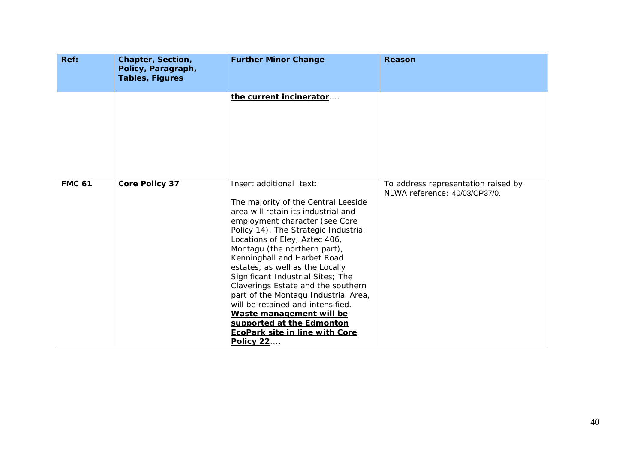| Ref:          | Chapter, Section,<br>Policy, Paragraph,<br><b>Tables, Figures</b> | <b>Further Minor Change</b>                                                                                                                                                                                                                                                                                                                                                                                                                                                                                                                                                                      | Reason                                                               |
|---------------|-------------------------------------------------------------------|--------------------------------------------------------------------------------------------------------------------------------------------------------------------------------------------------------------------------------------------------------------------------------------------------------------------------------------------------------------------------------------------------------------------------------------------------------------------------------------------------------------------------------------------------------------------------------------------------|----------------------------------------------------------------------|
|               |                                                                   | the current incinerator                                                                                                                                                                                                                                                                                                                                                                                                                                                                                                                                                                          |                                                                      |
| <b>FMC 61</b> | <b>Core Policy 37</b>                                             | Insert additional text:<br>The majority of the Central Leeside<br>area will retain its industrial and<br>employment character (see Core<br>Policy 14). The Strategic Industrial<br>Locations of Eley, Aztec 406,<br>Montagu (the northern part),<br>Kenninghall and Harbet Road<br>estates, as well as the Locally<br>Significant Industrial Sites; The<br>Claverings Estate and the southern<br>part of the Montagu Industrial Area,<br>will be retained and intensified.<br>Waste management will be<br>supported at the Edmonton<br><b>EcoPark site in line with Core</b><br><b>Policy 22</b> | To address representation raised by<br>NLWA reference: 40/03/CP37/0. |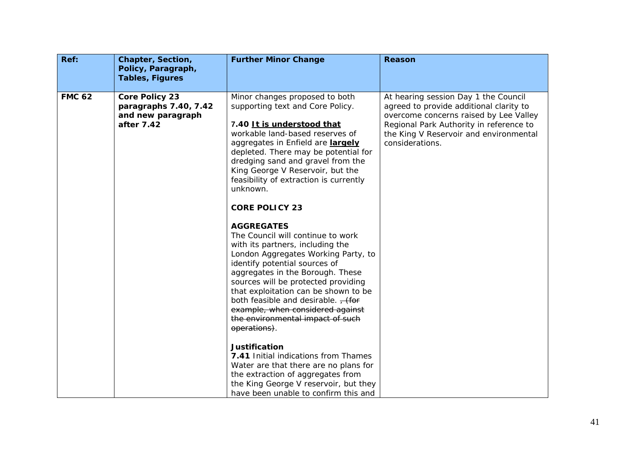| Ref:          | Chapter, Section,<br>Policy, Paragraph,<br><b>Tables, Figures</b>                 | <b>Further Minor Change</b>                                                                                                                                                                                                                                                                                                                                                                                                                                                                                                                                                                                                                                                                                                                                                                                                                                                                                                                                                                                                                 | Reason                                                                                                                                                                                                                            |
|---------------|-----------------------------------------------------------------------------------|---------------------------------------------------------------------------------------------------------------------------------------------------------------------------------------------------------------------------------------------------------------------------------------------------------------------------------------------------------------------------------------------------------------------------------------------------------------------------------------------------------------------------------------------------------------------------------------------------------------------------------------------------------------------------------------------------------------------------------------------------------------------------------------------------------------------------------------------------------------------------------------------------------------------------------------------------------------------------------------------------------------------------------------------|-----------------------------------------------------------------------------------------------------------------------------------------------------------------------------------------------------------------------------------|
| <b>FMC 62</b> | <b>Core Policy 23</b><br>paragraphs 7.40, 7.42<br>and new paragraph<br>after 7.42 | Minor changes proposed to both<br>supporting text and Core Policy.<br>7.40 It is understood that<br>workable land-based reserves of<br>aggregates in Enfield are largely<br>depleted. There may be potential for<br>dredging sand and gravel from the<br>King George V Reservoir, but the<br>feasibility of extraction is currently<br>unknown.<br><b>CORE POLICY 23</b><br><b>AGGREGATES</b><br>The Council will continue to work<br>with its partners, including the<br>London Aggregates Working Party, to<br>identify potential sources of<br>aggregates in the Borough. These<br>sources will be protected providing<br>that exploitation can be shown to be<br>both feasible and desirable. $\frac{1}{1}$ (for<br>example, when considered against<br>the environmental impact of such<br>operations).<br><b>Justification</b><br>7.41 Initial indications from Thames<br>Water are that there are no plans for<br>the extraction of aggregates from<br>the King George V reservoir, but they<br>have been unable to confirm this and | At hearing session Day 1 the Council<br>agreed to provide additional clarity to<br>overcome concerns raised by Lee Valley<br>Regional Park Authority in reference to<br>the King V Reservoir and environmental<br>considerations. |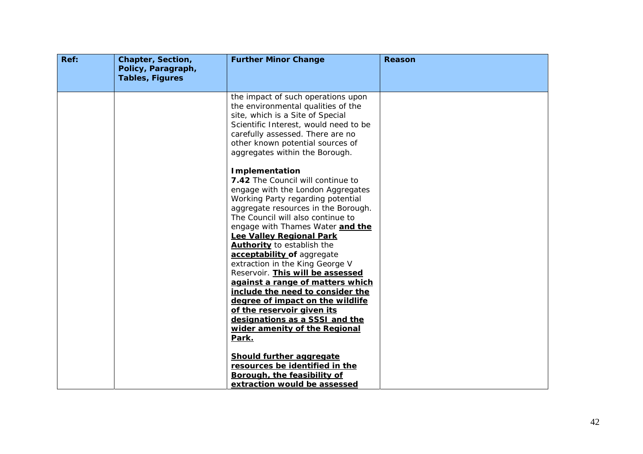| Ref: | Chapter, Section,<br>Policy, Paragraph,<br><b>Tables, Figures</b> | <b>Further Minor Change</b>                                                                                                                                                                                                                                                                                                                                                                                                                                                                                                                                                                                          | <b>Reason</b> |
|------|-------------------------------------------------------------------|----------------------------------------------------------------------------------------------------------------------------------------------------------------------------------------------------------------------------------------------------------------------------------------------------------------------------------------------------------------------------------------------------------------------------------------------------------------------------------------------------------------------------------------------------------------------------------------------------------------------|---------------|
|      |                                                                   | the impact of such operations upon<br>the environmental qualities of the<br>site, which is a Site of Special<br>Scientific Interest, would need to be<br>carefully assessed. There are no<br>other known potential sources of<br>aggregates within the Borough.                                                                                                                                                                                                                                                                                                                                                      |               |
|      |                                                                   | <b>Implementation</b><br><b>7.42</b> The Council will continue to<br>engage with the London Aggregates<br>Working Party regarding potential<br>aggregate resources in the Borough.<br>The Council will also continue to<br>engage with Thames Water and the<br><b>Lee Valley Regional Park</b><br><b>Authority</b> to establish the<br>acceptability of aggregate<br>extraction in the King George V<br>Reservoir. This will be assessed<br>against a range of matters which<br>include the need to consider the<br>degree of impact on the wildlife<br>of the reservoir given its<br>designations as a SSSI and the |               |
|      |                                                                   | wider amenity of the Regional<br>Park.<br>Should further aggregate<br>resources be identified in the<br>Borough, the feasibility of<br>extraction would be assessed                                                                                                                                                                                                                                                                                                                                                                                                                                                  |               |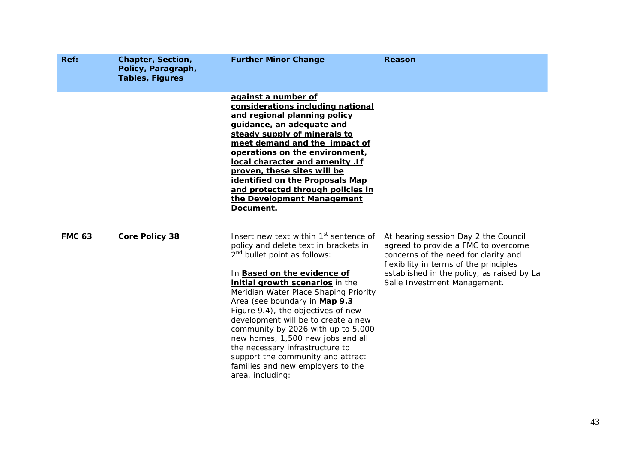| Ref:          | Chapter, Section,<br>Policy, Paragraph,<br><b>Tables, Figures</b> | <b>Further Minor Change</b>                                                                                                                                                                                                                                                                                                                                                                                                                                                                                                                                        | Reason                                                                                                                                                                                                                                      |
|---------------|-------------------------------------------------------------------|--------------------------------------------------------------------------------------------------------------------------------------------------------------------------------------------------------------------------------------------------------------------------------------------------------------------------------------------------------------------------------------------------------------------------------------------------------------------------------------------------------------------------------------------------------------------|---------------------------------------------------------------------------------------------------------------------------------------------------------------------------------------------------------------------------------------------|
|               |                                                                   | against a number of<br>considerations including national<br>and regional planning policy<br>quidance, an adequate and<br>steady supply of minerals to<br>meet demand and the impact of<br>operations on the environment,<br>local character and amenity .If<br>proven, these sites will be<br>identified on the Proposals Map<br>and protected through policies in<br>the Development Management<br>Document.                                                                                                                                                      |                                                                                                                                                                                                                                             |
| <b>FMC 63</b> | <b>Core Policy 38</b>                                             | Insert new text within 1 <sup>st</sup> sentence of<br>policy and delete text in brackets in<br>$2nd$ bullet point as follows:<br>In Based on the evidence of<br>initial growth scenarios in the<br>Meridian Water Place Shaping Priority<br>Area (see boundary in Map 9.3<br>Figure 9.4), the objectives of new<br>development will be to create a new<br>community by 2026 with up to 5,000<br>new homes, 1,500 new jobs and all<br>the necessary infrastructure to<br>support the community and attract<br>families and new employers to the<br>area, including: | At hearing session Day 2 the Council<br>agreed to provide a FMC to overcome<br>concerns of the need for clarity and<br>flexibility in terms of the principles<br>established in the policy, as raised by La<br>Salle Investment Management. |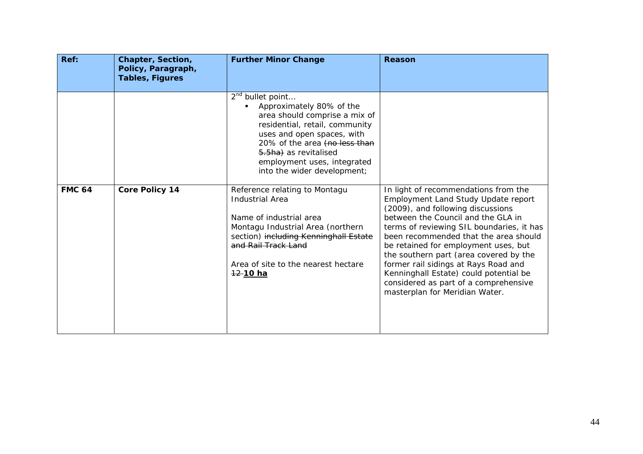| Ref:          | Chapter, Section,<br>Policy, Paragraph,<br><b>Tables, Figures</b> | <b>Further Minor Change</b>                                                                                                                                                                                                                                                       | <b>Reason</b>                                                                                                                                                                                                                                                                                                                                                                                                                                                                               |
|---------------|-------------------------------------------------------------------|-----------------------------------------------------------------------------------------------------------------------------------------------------------------------------------------------------------------------------------------------------------------------------------|---------------------------------------------------------------------------------------------------------------------------------------------------------------------------------------------------------------------------------------------------------------------------------------------------------------------------------------------------------------------------------------------------------------------------------------------------------------------------------------------|
|               |                                                                   | 2 <sup>nd</sup> bullet point<br>Approximately 80% of the<br>area should comprise a mix of<br>residential, retail, community<br>uses and open spaces, with<br>20% of the area (no less than<br>5.5ha) as revitalised<br>employment uses, integrated<br>into the wider development; |                                                                                                                                                                                                                                                                                                                                                                                                                                                                                             |
| <b>FMC 64</b> | <b>Core Policy 14</b>                                             | Reference relating to Montagu<br><b>Industrial Area</b><br>Name of industrial area<br>Montagu Industrial Area (northern<br>section) including Kenninghall Estate<br>and Rail Track Land<br>Area of site to the nearest hectare<br>12 10 ha                                        | In light of recommendations from the<br>Employment Land Study Update report<br>(2009), and following discussions<br>between the Council and the GLA in<br>terms of reviewing SIL boundaries, it has<br>been recommended that the area should<br>be retained for employment uses, but<br>the southern part (area covered by the<br>former rail sidings at Rays Road and<br>Kenninghall Estate) could potential be<br>considered as part of a comprehensive<br>masterplan for Meridian Water. |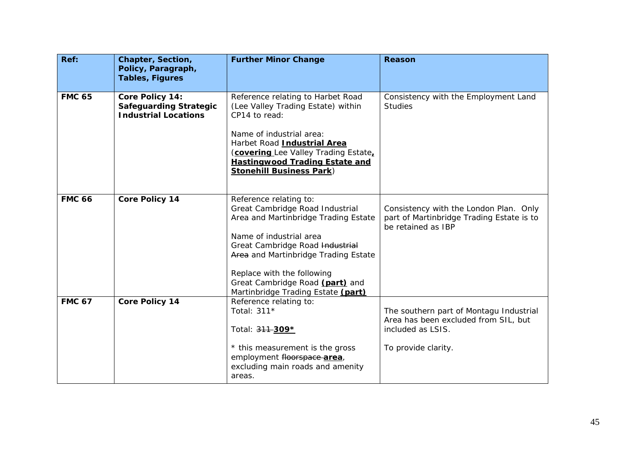| Ref:          | Chapter, Section,<br>Policy, Paragraph,<br><b>Tables, Figures</b>               | <b>Further Minor Change</b>                                                                                                                                                                                                                                                                                    | <b>Reason</b>                                                                                                               |
|---------------|---------------------------------------------------------------------------------|----------------------------------------------------------------------------------------------------------------------------------------------------------------------------------------------------------------------------------------------------------------------------------------------------------------|-----------------------------------------------------------------------------------------------------------------------------|
| <b>FMC 65</b> | Core Policy 14:<br><b>Safeguarding Strategic</b><br><b>Industrial Locations</b> | Reference relating to Harbet Road<br>(Lee Valley Trading Estate) within<br>CP14 to read:<br>Name of industrial area:<br>Harbet Road Industrial Area<br>(covering Lee Valley Trading Estate,<br><b>Hastingwood Trading Estate and</b><br><b>Stonehill Business Park)</b>                                        | Consistency with the Employment Land<br><b>Studies</b>                                                                      |
| <b>FMC 66</b> | <b>Core Policy 14</b>                                                           | Reference relating to:<br>Great Cambridge Road Industrial<br>Area and Martinbridge Trading Estate<br>Name of industrial area<br>Great Cambridge Road Industrial<br>Area and Martinbridge Trading Estate<br>Replace with the following<br>Great Cambridge Road (part) and<br>Martinbridge Trading Estate (part) | Consistency with the London Plan. Only<br>part of Martinbridge Trading Estate is to<br>be retained as IBP                   |
| <b>FMC 67</b> | <b>Core Policy 14</b>                                                           | Reference relating to:<br>Total: 311*<br>Total: 311-309*<br>* this measurement is the gross<br>employment floorspace-area,<br>excluding main roads and amenity<br>areas.                                                                                                                                       | The southern part of Montagu Industrial<br>Area has been excluded from SIL, but<br>included as LSIS.<br>To provide clarity. |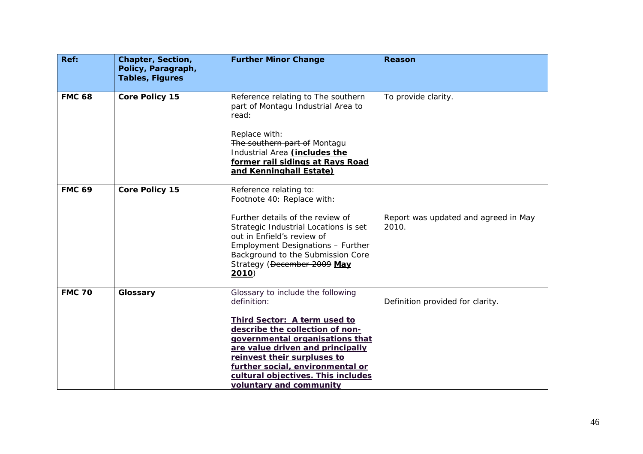| Ref:          | Chapter, Section,<br>Policy, Paragraph,<br><b>Tables, Figures</b> | <b>Further Minor Change</b>                                                                                                                                                                                                                                                | Reason                                        |
|---------------|-------------------------------------------------------------------|----------------------------------------------------------------------------------------------------------------------------------------------------------------------------------------------------------------------------------------------------------------------------|-----------------------------------------------|
| <b>FMC 68</b> | <b>Core Policy 15</b>                                             | Reference relating to The southern<br>part of Montagu Industrial Area to<br>read:                                                                                                                                                                                          | To provide clarity.                           |
|               |                                                                   | Replace with:<br>The southern part of Montagu<br>Industrial Area <i>(includes the</i><br>former rail sidings at Rays Road<br>and Kenninghall Estate)                                                                                                                       |                                               |
| <b>FMC 69</b> | <b>Core Policy 15</b>                                             | Reference relating to:<br>Footnote 40: Replace with:                                                                                                                                                                                                                       |                                               |
|               |                                                                   | Further details of the review of<br>Strategic Industrial Locations is set<br>out in Enfield's review of<br>Employment Designations - Further<br>Background to the Submission Core<br>Strategy (December 2009 May<br>2010                                                   | Report was updated and agreed in May<br>2010. |
| <b>FMC 70</b> | Glossary                                                          | Glossary to include the following<br>definition:                                                                                                                                                                                                                           | Definition provided for clarity.              |
|               |                                                                   | Third Sector: A term used to<br>describe the collection of non-<br>governmental organisations that<br>are value driven and principally<br>reinvest their surpluses to<br>further social, environmental or<br>cultural objectives. This includes<br>voluntary and community |                                               |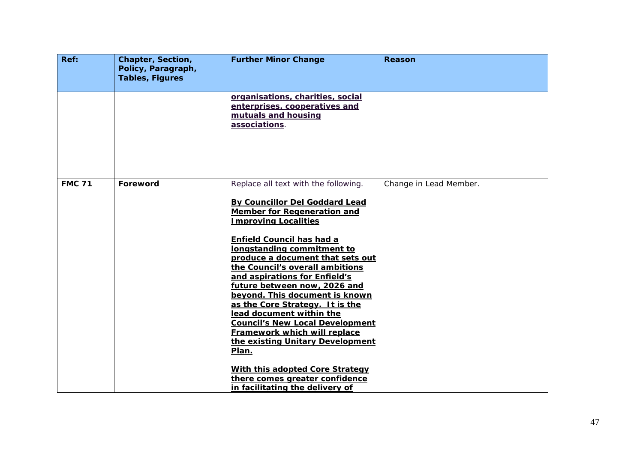| Ref:          | Chapter, Section,<br>Policy, Paragraph, | <b>Further Minor Change</b>                                                                                                                                                                                                                                                                                                                                                                                                                                                                                                                                                                                                                                                    | Reason                 |
|---------------|-----------------------------------------|--------------------------------------------------------------------------------------------------------------------------------------------------------------------------------------------------------------------------------------------------------------------------------------------------------------------------------------------------------------------------------------------------------------------------------------------------------------------------------------------------------------------------------------------------------------------------------------------------------------------------------------------------------------------------------|------------------------|
|               | <b>Tables, Figures</b>                  |                                                                                                                                                                                                                                                                                                                                                                                                                                                                                                                                                                                                                                                                                |                        |
|               |                                         | organisations, charities, social<br>enterprises, cooperatives and<br>mutuals and housing<br>associations.                                                                                                                                                                                                                                                                                                                                                                                                                                                                                                                                                                      |                        |
| <b>FMC 71</b> | Foreword                                | Replace all text with the following.<br>By Councillor Del Goddard Lead<br>Member for Regeneration and<br><b>Improving Localities</b><br><b>Enfield Council has had a</b><br>longstanding commitment to<br>produce a document that sets out<br>the Council's overall ambitions<br>and aspirations for Enfield's<br>future between now, 2026 and<br>beyond. This document is known<br>as the Core Strategy. It is the<br>lead document within the<br><b>Council's New Local Development</b><br>Framework which will replace<br>the existing Unitary Development<br>Plan.<br>With this adopted Core Strategy<br>there comes greater confidence<br>in facilitating the delivery of | Change in Lead Member. |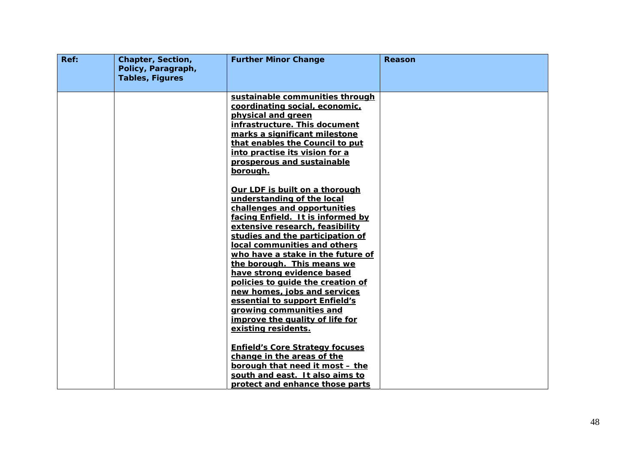| Ref: | Chapter, Section,<br>Policy, Paragraph,<br><b>Tables, Figures</b> | <b>Further Minor Change</b>                                                                                                                                                                                                                                                                                                                                                                                                                                                                                                                                                     | Reason |
|------|-------------------------------------------------------------------|---------------------------------------------------------------------------------------------------------------------------------------------------------------------------------------------------------------------------------------------------------------------------------------------------------------------------------------------------------------------------------------------------------------------------------------------------------------------------------------------------------------------------------------------------------------------------------|--------|
|      |                                                                   | sustainable communities through<br>coordinating social, economic,<br>physical and green<br>infrastructure. This document<br>marks a significant milestone<br>that enables the Council to put<br>into practise its vision for a<br>prosperous and sustainable<br>borough.                                                                                                                                                                                                                                                                                                        |        |
|      |                                                                   | Our LDF is built on a thorough<br>understanding of the local<br>challenges and opportunities<br>facing Enfield. It is informed by<br>extensive research, feasibility<br>studies and the participation of<br>local communities and others<br>who have a stake in the future of<br>the borough. This means we<br>have strong evidence based<br>policies to quide the creation of<br>new homes, jobs and services<br>essential to support Enfield's<br>growing communities and<br>improve the quality of life for<br>existing residents.<br><b>Enfield's Core Strategy focuses</b> |        |
|      |                                                                   | change in the areas of the<br>borough that need it most - the<br>south and east. It also aims to<br>protect and enhance those parts                                                                                                                                                                                                                                                                                                                                                                                                                                             |        |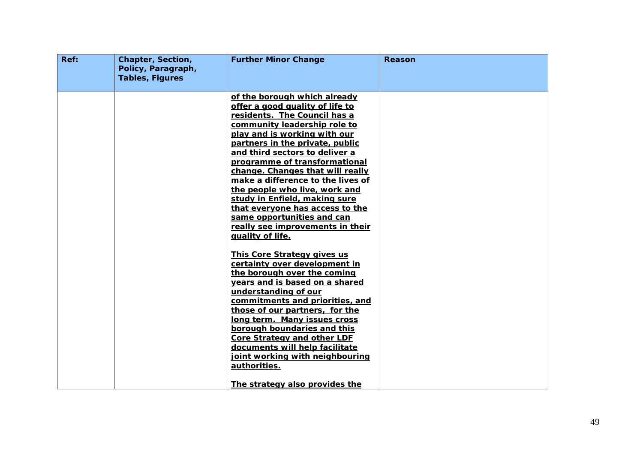| Ref: | Chapter, Section,<br>Policy, Paragraph,<br><b>Tables, Figures</b> | <b>Further Minor Change</b>                                                                                                                                                                                                                                                                                                                                                                                                                                                                                                               | Reason |
|------|-------------------------------------------------------------------|-------------------------------------------------------------------------------------------------------------------------------------------------------------------------------------------------------------------------------------------------------------------------------------------------------------------------------------------------------------------------------------------------------------------------------------------------------------------------------------------------------------------------------------------|--------|
|      |                                                                   | of the borough which already<br>offer a good quality of life to<br>residents. The Council has a<br>community leadership role to<br>play and is working with our<br>partners in the private, public<br>and third sectors to deliver a<br>programme of transformational<br>change. Changes that will really<br>make a difference to the lives of<br>the people who live, work and<br>study in Enfield, making sure<br>that everyone has access to the<br>same opportunities and can<br>really see improvements in their<br>quality of life. |        |
|      |                                                                   | This Core Strategy gives us<br>certainty over development in<br>the borough over the coming<br>years and is based on a shared<br>understanding of our<br>commitments and priorities, and<br>those of our partners, for the<br>long term. Many issues cross<br>borough boundaries and this<br><b>Core Strategy and other LDF</b><br>documents will help facilitate<br>joint working with neighbouring<br>authorities.<br>The strategy also provides the                                                                                    |        |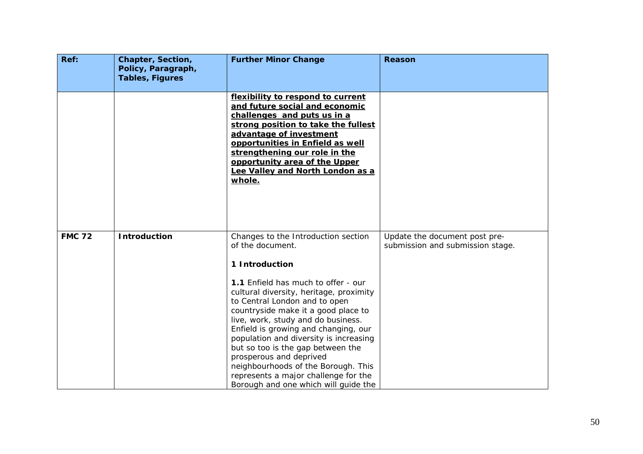| Ref:          | Chapter, Section,<br>Policy, Paragraph,<br><b>Tables, Figures</b> | <b>Further Minor Change</b>                                                                                                                                                                                                                                                                                                                                                                                                                                           | <b>Reason</b>                                                     |
|---------------|-------------------------------------------------------------------|-----------------------------------------------------------------------------------------------------------------------------------------------------------------------------------------------------------------------------------------------------------------------------------------------------------------------------------------------------------------------------------------------------------------------------------------------------------------------|-------------------------------------------------------------------|
|               |                                                                   | flexibility to respond to current<br>and future social and economic<br>challenges and puts us in a<br>strong position to take the fullest<br>advantage of investment<br>opportunities in Enfield as well<br>strengthening our role in the<br>opportunity area of the Upper<br>Lee Valley and North London as a<br><u>whole.</u>                                                                                                                                       |                                                                   |
| <b>FMC 72</b> | <b>Introduction</b>                                               | Changes to the Introduction section<br>of the document.<br>1 Introduction                                                                                                                                                                                                                                                                                                                                                                                             | Update the document post pre-<br>submission and submission stage. |
|               |                                                                   | 1.1 Enfield has much to offer - our<br>cultural diversity, heritage, proximity<br>to Central London and to open<br>countryside make it a good place to<br>live, work, study and do business.<br>Enfield is growing and changing, our<br>population and diversity is increasing<br>but so too is the gap between the<br>prosperous and deprived<br>neighbourhoods of the Borough. This<br>represents a major challenge for the<br>Borough and one which will guide the |                                                                   |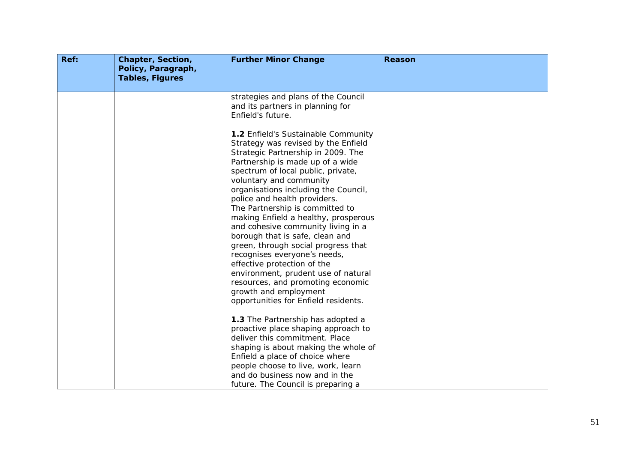| <b>Tables, Figures</b> | strategies and plans of the Council<br>and its partners in planning for<br>Enfield's future.<br>1.2 Enfield's Sustainable Community<br>Strategy was revised by the Enfield<br>Strategic Partnership in 2009. The<br>Partnership is made up of a wide<br>spectrum of local public, private,<br>voluntary and community<br>organisations including the Council,<br>police and health providers.<br>The Partnership is committed to<br>making Enfield a healthy, prosperous<br>and cohesive community living in a<br>borough that is safe, clean and<br>green, through social progress that<br>recognises everyone's needs,<br>effective protection of the<br>environment, prudent use of natural<br>resources, and promoting economic<br>growth and employment<br>opportunities for Enfield residents.<br>1.3 The Partnership has adopted a |                                                                                                                                                                                      |
|------------------------|-------------------------------------------------------------------------------------------------------------------------------------------------------------------------------------------------------------------------------------------------------------------------------------------------------------------------------------------------------------------------------------------------------------------------------------------------------------------------------------------------------------------------------------------------------------------------------------------------------------------------------------------------------------------------------------------------------------------------------------------------------------------------------------------------------------------------------------------|--------------------------------------------------------------------------------------------------------------------------------------------------------------------------------------|
|                        | deliver this commitment. Place                                                                                                                                                                                                                                                                                                                                                                                                                                                                                                                                                                                                                                                                                                                                                                                                            |                                                                                                                                                                                      |
|                        | shaping is about making the whole of                                                                                                                                                                                                                                                                                                                                                                                                                                                                                                                                                                                                                                                                                                                                                                                                      |                                                                                                                                                                                      |
|                        |                                                                                                                                                                                                                                                                                                                                                                                                                                                                                                                                                                                                                                                                                                                                                                                                                                           |                                                                                                                                                                                      |
|                        |                                                                                                                                                                                                                                                                                                                                                                                                                                                                                                                                                                                                                                                                                                                                                                                                                                           |                                                                                                                                                                                      |
|                        |                                                                                                                                                                                                                                                                                                                                                                                                                                                                                                                                                                                                                                                                                                                                                                                                                                           |                                                                                                                                                                                      |
|                        |                                                                                                                                                                                                                                                                                                                                                                                                                                                                                                                                                                                                                                                                                                                                                                                                                                           | proactive place shaping approach to<br>Enfield a place of choice where<br>people choose to live, work, learn<br>and do business now and in the<br>future. The Council is preparing a |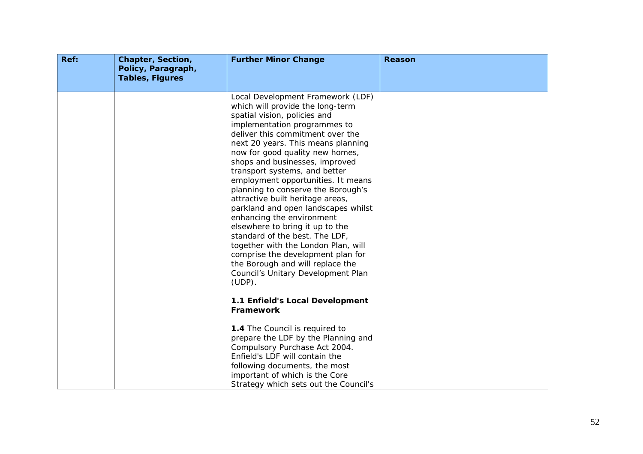| Ref: | Chapter, Section,<br>Policy, Paragraph,<br><b>Tables, Figures</b> | <b>Further Minor Change</b>                                                                                                                                                                                                                                                                                                                                                                                                                                                                                                                                                                                                                                                                                                                       | Reason |
|------|-------------------------------------------------------------------|---------------------------------------------------------------------------------------------------------------------------------------------------------------------------------------------------------------------------------------------------------------------------------------------------------------------------------------------------------------------------------------------------------------------------------------------------------------------------------------------------------------------------------------------------------------------------------------------------------------------------------------------------------------------------------------------------------------------------------------------------|--------|
|      |                                                                   | Local Development Framework (LDF)<br>which will provide the long-term<br>spatial vision, policies and<br>implementation programmes to<br>deliver this commitment over the<br>next 20 years. This means planning<br>now for good quality new homes,<br>shops and businesses, improved<br>transport systems, and better<br>employment opportunities. It means<br>planning to conserve the Borough's<br>attractive built heritage areas,<br>parkland and open landscapes whilst<br>enhancing the environment<br>elsewhere to bring it up to the<br>standard of the best. The LDF,<br>together with the London Plan, will<br>comprise the development plan for<br>the Borough and will replace the<br>Council's Unitary Development Plan<br>$(UDP)$ . |        |
|      |                                                                   | 1.1 Enfield's Local Development<br>Framework<br>1.4 The Council is required to<br>prepare the LDF by the Planning and<br>Compulsory Purchase Act 2004.<br>Enfield's LDF will contain the<br>following documents, the most<br>important of which is the Core<br>Strategy which sets out the Council's                                                                                                                                                                                                                                                                                                                                                                                                                                              |        |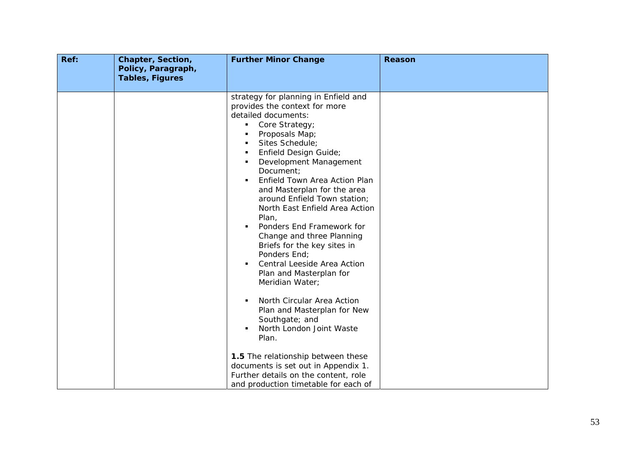| Ref: | Chapter, Section,<br>Policy, Paragraph,<br><b>Tables, Figures</b> | <b>Further Minor Change</b>                                                                                                                                                                                                                                                                                                                                                                                                                                                                                                                                                                                                                                                                                                                                                                                                             | Reason |
|------|-------------------------------------------------------------------|-----------------------------------------------------------------------------------------------------------------------------------------------------------------------------------------------------------------------------------------------------------------------------------------------------------------------------------------------------------------------------------------------------------------------------------------------------------------------------------------------------------------------------------------------------------------------------------------------------------------------------------------------------------------------------------------------------------------------------------------------------------------------------------------------------------------------------------------|--------|
|      |                                                                   | strategy for planning in Enfield and<br>provides the context for more<br>detailed documents:<br>Core Strategy;<br>$\blacksquare$<br>Proposals Map;<br>$\blacksquare$<br>Sites Schedule;<br>٠<br>Enfield Design Guide;<br>$\blacksquare$<br>Development Management<br>٠<br>Document:<br>Enfield Town Area Action Plan<br>and Masterplan for the area<br>around Enfield Town station;<br>North East Enfield Area Action<br>Plan,<br>Ponders End Framework for<br>Change and three Planning<br>Briefs for the key sites in<br>Ponders End;<br>Central Leeside Area Action<br>$\blacksquare$<br>Plan and Masterplan for<br>Meridian Water;<br>North Circular Area Action<br>Plan and Masterplan for New<br>Southgate; and<br>North London Joint Waste<br>Plan.<br>1.5 The relationship between these<br>documents is set out in Appendix 1. |        |
|      |                                                                   | Further details on the content, role<br>and production timetable for each of                                                                                                                                                                                                                                                                                                                                                                                                                                                                                                                                                                                                                                                                                                                                                            |        |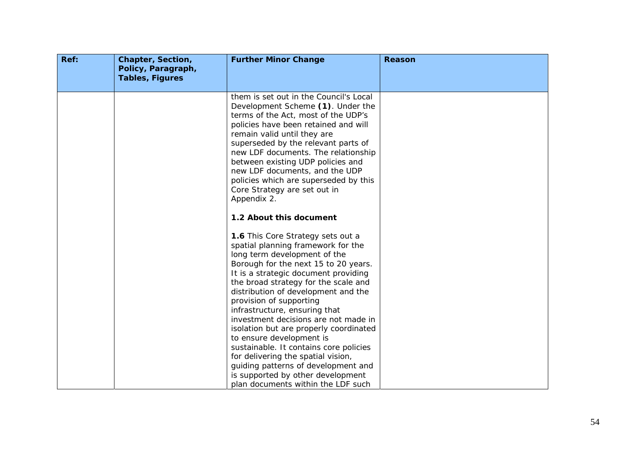| Ref: | Chapter, Section,<br>Policy, Paragraph,<br><b>Tables, Figures</b> | <b>Further Minor Change</b>                                                                                                                                                                                                                                                                                                                                                                                                                                                                                                                                                                                                                        | Reason |
|------|-------------------------------------------------------------------|----------------------------------------------------------------------------------------------------------------------------------------------------------------------------------------------------------------------------------------------------------------------------------------------------------------------------------------------------------------------------------------------------------------------------------------------------------------------------------------------------------------------------------------------------------------------------------------------------------------------------------------------------|--------|
|      |                                                                   | them is set out in the Council's Local<br>Development Scheme (1). Under the<br>terms of the Act, most of the UDP's<br>policies have been retained and will<br>remain valid until they are<br>superseded by the relevant parts of<br>new LDF documents. The relationship<br>between existing UDP policies and<br>new LDF documents, and the UDP<br>policies which are superseded by this<br>Core Strategy are set out in<br>Appendix 2.                                                                                                                                                                                                             |        |
|      |                                                                   | 1.2 About this document                                                                                                                                                                                                                                                                                                                                                                                                                                                                                                                                                                                                                            |        |
|      |                                                                   | 1.6 This Core Strategy sets out a<br>spatial planning framework for the<br>long term development of the<br>Borough for the next 15 to 20 years.<br>It is a strategic document providing<br>the broad strategy for the scale and<br>distribution of development and the<br>provision of supporting<br>infrastructure, ensuring that<br>investment decisions are not made in<br>isolation but are properly coordinated<br>to ensure development is<br>sustainable. It contains core policies<br>for delivering the spatial vision,<br>guiding patterns of development and<br>is supported by other development<br>plan documents within the LDF such |        |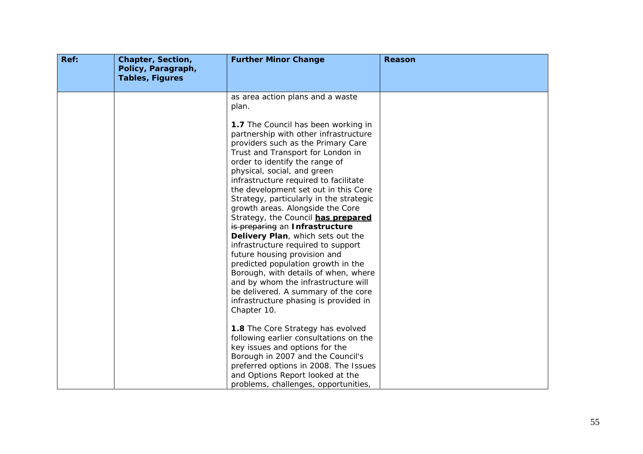| Ref: | Chapter, Section,<br>Policy, Paragraph,<br><b>Tables, Figures</b> | <b>Further Minor Change</b>                                                                                                                                                                                                                                                                                                                                                                                                                                                                                                                                                                                                                                                                                                                                                                     | <b>Reason</b> |
|------|-------------------------------------------------------------------|-------------------------------------------------------------------------------------------------------------------------------------------------------------------------------------------------------------------------------------------------------------------------------------------------------------------------------------------------------------------------------------------------------------------------------------------------------------------------------------------------------------------------------------------------------------------------------------------------------------------------------------------------------------------------------------------------------------------------------------------------------------------------------------------------|---------------|
|      |                                                                   | as area action plans and a waste<br>plan.                                                                                                                                                                                                                                                                                                                                                                                                                                                                                                                                                                                                                                                                                                                                                       |               |
|      |                                                                   | 1.7 The Council has been working in<br>partnership with other infrastructure<br>providers such as the Primary Care<br>Trust and Transport for London in<br>order to identify the range of<br>physical, social, and green<br>infrastructure required to facilitate<br>the development set out in this Core<br>Strategy, particularly in the strategic<br>growth areas. Alongside the Core<br>Strategy, the Council has prepared<br>is preparing an Infrastructure<br>Delivery Plan, which sets out the<br>infrastructure required to support<br>future housing provision and<br>predicted population growth in the<br>Borough, with details of when, where<br>and by whom the infrastructure will<br>be delivered. A summary of the core<br>infrastructure phasing is provided in<br>Chapter 10. |               |
|      |                                                                   | 1.8 The Core Strategy has evolved<br>following earlier consultations on the<br>key issues and options for the<br>Borough in 2007 and the Council's                                                                                                                                                                                                                                                                                                                                                                                                                                                                                                                                                                                                                                              |               |
|      |                                                                   | preferred options in 2008. The Issues<br>and Options Report looked at the<br>problems, challenges, opportunities,                                                                                                                                                                                                                                                                                                                                                                                                                                                                                                                                                                                                                                                                               |               |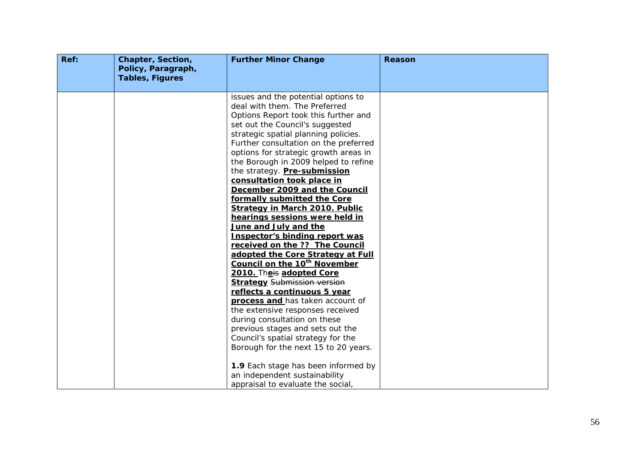| Ref: | Chapter, Section,<br>Policy, Paragraph,<br><b>Tables, Figures</b> | <b>Further Minor Change</b>                                                                                                                                                                                                                                                                                                                                                                                                                                                                                                                                                                                                                                                                                                                                                                                                                                                                                                                                                                                                                                                        | Reason |
|------|-------------------------------------------------------------------|------------------------------------------------------------------------------------------------------------------------------------------------------------------------------------------------------------------------------------------------------------------------------------------------------------------------------------------------------------------------------------------------------------------------------------------------------------------------------------------------------------------------------------------------------------------------------------------------------------------------------------------------------------------------------------------------------------------------------------------------------------------------------------------------------------------------------------------------------------------------------------------------------------------------------------------------------------------------------------------------------------------------------------------------------------------------------------|--------|
|      |                                                                   |                                                                                                                                                                                                                                                                                                                                                                                                                                                                                                                                                                                                                                                                                                                                                                                                                                                                                                                                                                                                                                                                                    |        |
|      |                                                                   | issues and the potential options to<br>deal with them. The Preferred<br>Options Report took this further and<br>set out the Council's suggested<br>strategic spatial planning policies.<br>Further consultation on the preferred<br>options for strategic growth areas in<br>the Borough in 2009 helped to refine<br>the strategy. Pre-submission<br>consultation took place in<br>December 2009 and the Council<br>formally submitted the Core<br><b>Strategy in March 2010. Public</b><br>hearings sessions were held in<br>June and July and the<br><b>Inspector's binding report was</b><br>received on the ?? The Council<br>adopted the Core Strategy at Full<br>Council on the 10 <sup>th</sup> November<br>2010. Theis adopted Core<br><b>Strategy Submission version</b><br>reflects a continuous 5 year<br>process and has taken account of<br>the extensive responses received<br>during consultation on these<br>previous stages and sets out the<br>Council's spatial strategy for the<br>Borough for the next 15 to 20 years.<br>1.9 Each stage has been informed by |        |
|      |                                                                   | an independent sustainability<br>appraisal to evaluate the social,                                                                                                                                                                                                                                                                                                                                                                                                                                                                                                                                                                                                                                                                                                                                                                                                                                                                                                                                                                                                                 |        |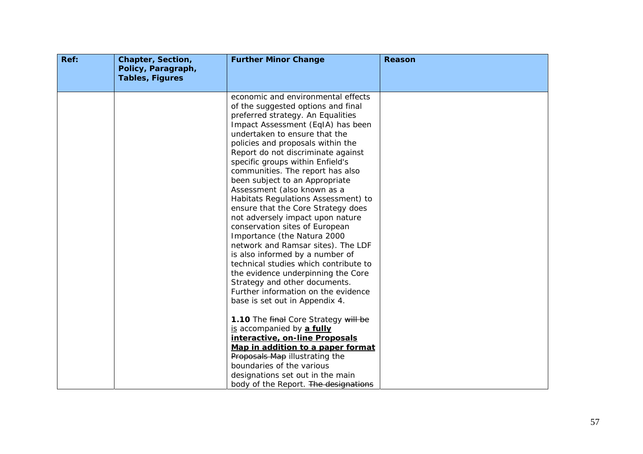| Ref: | Chapter, Section,<br>Policy, Paragraph,<br><b>Tables, Figures</b> | <b>Further Minor Change</b>                                                                                                                                                                                                                                                                                                                                                                                                                                                                                                                                                                                                                                                                                                                                                                                                                                 | Reason |
|------|-------------------------------------------------------------------|-------------------------------------------------------------------------------------------------------------------------------------------------------------------------------------------------------------------------------------------------------------------------------------------------------------------------------------------------------------------------------------------------------------------------------------------------------------------------------------------------------------------------------------------------------------------------------------------------------------------------------------------------------------------------------------------------------------------------------------------------------------------------------------------------------------------------------------------------------------|--------|
|      |                                                                   |                                                                                                                                                                                                                                                                                                                                                                                                                                                                                                                                                                                                                                                                                                                                                                                                                                                             |        |
|      |                                                                   | economic and environmental effects<br>of the suggested options and final<br>preferred strategy. An Equalities<br>Impact Assessment (EqIA) has been<br>undertaken to ensure that the<br>policies and proposals within the<br>Report do not discriminate against<br>specific groups within Enfield's<br>communities. The report has also<br>been subject to an Appropriate<br>Assessment (also known as a<br>Habitats Regulations Assessment) to<br>ensure that the Core Strategy does<br>not adversely impact upon nature<br>conservation sites of European<br>Importance (the Natura 2000<br>network and Ramsar sites). The LDF<br>is also informed by a number of<br>technical studies which contribute to<br>the evidence underpinning the Core<br>Strategy and other documents.<br>Further information on the evidence<br>base is set out in Appendix 4. |        |
|      |                                                                   | 1.10 The final Core Strategy will be<br>is accompanied by a fully<br>interactive, on-line Proposals<br>Map in addition to a paper format<br>Proposals Map illustrating the<br>boundaries of the various<br>designations set out in the main<br>body of the Report. The designations                                                                                                                                                                                                                                                                                                                                                                                                                                                                                                                                                                         |        |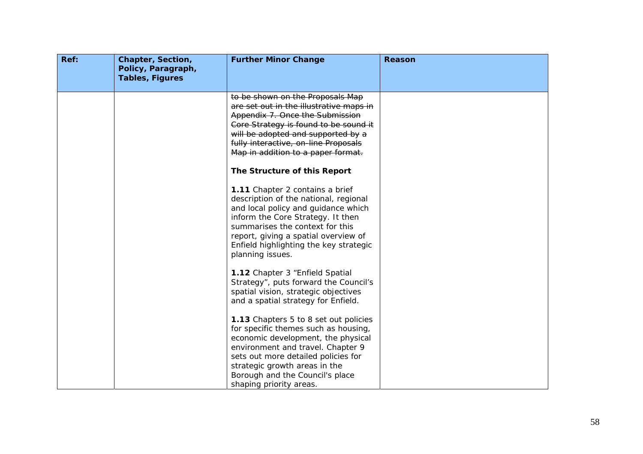| Ref: | Chapter, Section,<br>Policy, Paragraph,<br><b>Tables, Figures</b> | <b>Further Minor Change</b>                                                                                                                                                                                                                                                                    | Reason |
|------|-------------------------------------------------------------------|------------------------------------------------------------------------------------------------------------------------------------------------------------------------------------------------------------------------------------------------------------------------------------------------|--------|
|      |                                                                   | to be shown on the Proposals Map<br>are set out in the illustrative maps in<br>Appendix 7. Once the Submission<br>Core Strategy is found to be sound it<br>will be adopted and supported by a<br>fully interactive, on-line Proposals<br>Map in addition to a paper format.                    |        |
|      |                                                                   | The Structure of this Report                                                                                                                                                                                                                                                                   |        |
|      |                                                                   | 1.11 Chapter 2 contains a brief<br>description of the national, regional<br>and local policy and guidance which<br>inform the Core Strategy. It then<br>summarises the context for this<br>report, giving a spatial overview of<br>Enfield highlighting the key strategic<br>planning issues.  |        |
|      |                                                                   | 1.12 Chapter 3 "Enfield Spatial<br>Strategy", puts forward the Council's<br>spatial vision, strategic objectives<br>and a spatial strategy for Enfield.                                                                                                                                        |        |
|      |                                                                   | 1.13 Chapters 5 to 8 set out policies<br>for specific themes such as housing,<br>economic development, the physical<br>environment and travel. Chapter 9<br>sets out more detailed policies for<br>strategic growth areas in the<br>Borough and the Council's place<br>shaping priority areas. |        |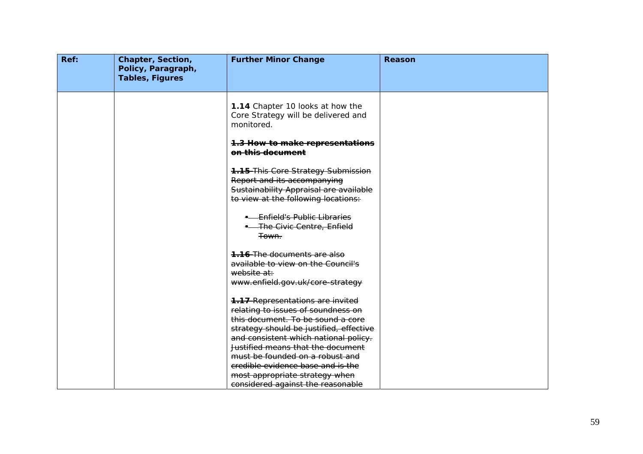| Ref: | Chapter, Section,<br>Policy, Paragraph,<br><b>Tables, Figures</b> | <b>Further Minor Change</b>                                                                                                                                                                            | <b>Reason</b> |
|------|-------------------------------------------------------------------|--------------------------------------------------------------------------------------------------------------------------------------------------------------------------------------------------------|---------------|
|      |                                                                   | 1.14 Chapter 10 looks at how the<br>Core Strategy will be delivered and<br>monitored.                                                                                                                  |               |
|      |                                                                   | 1.3 How to make representations<br>on this document                                                                                                                                                    |               |
|      |                                                                   | <b>1.15 This Core Strategy Submission</b><br>Report and its accompanying<br>Sustainability Appraisal are available<br>to view at the following locations:                                              |               |
|      |                                                                   | - Enfield's Public Libraries<br><b>-</b> The Civic Centre, Enfield<br><del>Town.</del>                                                                                                                 |               |
|      |                                                                   | <b>1.16</b> The documents are also<br>available to view on the Council's<br>website at:<br>www.enfield.gov.uk/core-strategy                                                                            |               |
|      |                                                                   | <b>1.17 Representations are invited</b><br>relating to issues of soundness on<br>this document. To be sound a core<br>strategy should be justified, effective<br>and consistent which national policy. |               |
|      |                                                                   | Justified means that the document<br>must be founded on a robust and<br>credible evidence base and is the<br>most appropriate strategy when<br>considered against the reasonable                       |               |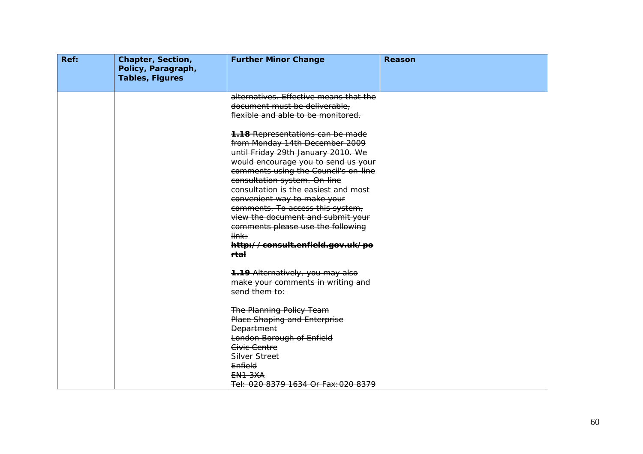| Ref: | <b>Chapter, Section,</b><br>Policy, Paragraph,<br><b>Tables, Figures</b> | <b>Further Minor Change</b>                                                                                                                                                                                                                                                                                                                                                                                                                                                          | <b>Reason</b> |
|------|--------------------------------------------------------------------------|--------------------------------------------------------------------------------------------------------------------------------------------------------------------------------------------------------------------------------------------------------------------------------------------------------------------------------------------------------------------------------------------------------------------------------------------------------------------------------------|---------------|
|      |                                                                          | alternatives. Effective means that the<br>document must be deliverable,<br>flexible and able to be monitored.                                                                                                                                                                                                                                                                                                                                                                        |               |
|      |                                                                          | <b>1.18 Representations can be made</b><br>from Monday 14th December 2009<br>until Friday 29th January 2010. We<br>would encourage you to send us your<br>comments using the Council's on-line<br>consultation system. On-line<br>consultation is the easiest and most<br>convenient way to make your<br>comments. To access this system,<br>view the document and submit your<br>comments please use the following<br>link:<br>http://consult.enfield.gov.uk/po<br>r <del>tal</del> |               |
|      |                                                                          | <b>1.19 Alternatively, you may alse</b><br>make your comments in writing and<br>send them to:                                                                                                                                                                                                                                                                                                                                                                                        |               |
|      |                                                                          | <b>The Planning Policy Team</b><br><b>Place Shaping and Enterprise</b><br><b>Department</b><br>London Borough of Enfield<br>Civic Centre<br>Silver Street<br>Enfield                                                                                                                                                                                                                                                                                                                 |               |
|      |                                                                          | <b>EN1 3XA</b><br>Tel: 020 8379 1634 Or Fax: 020 8379                                                                                                                                                                                                                                                                                                                                                                                                                                |               |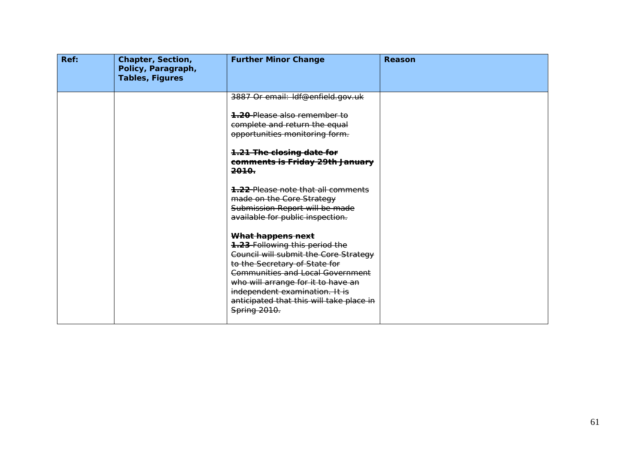| Ref: | <b>Chapter, Section,</b><br>Policy, Paragraph,<br><b>Tables, Figures</b> | <b>Further Minor Change</b>                                                                                                                  | <b>Reason</b> |
|------|--------------------------------------------------------------------------|----------------------------------------------------------------------------------------------------------------------------------------------|---------------|
|      |                                                                          | 3887 Or email: Idf@enfield.gov.uk<br><b>1.20</b> Please also remember to                                                                     |               |
|      |                                                                          | complete and return the equal<br>opportunities monitoring form.                                                                              |               |
|      |                                                                          | 1.21 The closing date for<br>comments is Friday 29th January<br><del>2010.</del>                                                             |               |
|      |                                                                          | <b>1.22</b> Please note that all comments<br>made on the Core Strategy<br>Submission Report will be made<br>available for public inspection. |               |
|      |                                                                          | What happens next<br><b>1.23-Following this period the</b><br>Council will submit the Core Strategy                                          |               |
|      |                                                                          | to the Secretary of State for<br>Communities and Local Government<br>who will arrange for it to have an                                      |               |
|      |                                                                          | independent examination. It is<br>anticipated that this will take place in<br>Spring 2010.                                                   |               |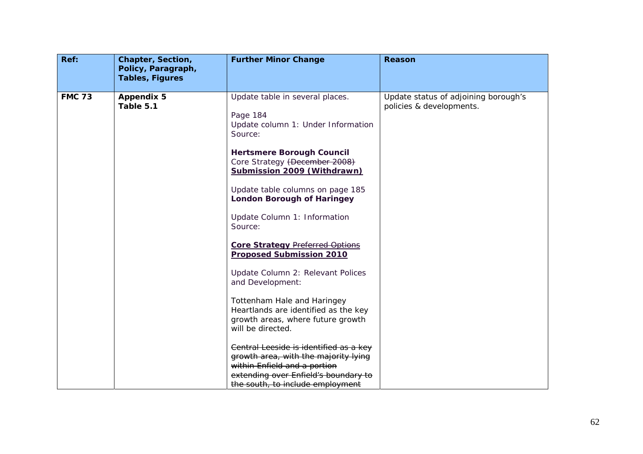| Ref:          | Chapter, Section,<br>Policy, Paragraph,<br><b>Tables, Figures</b> | <b>Further Minor Change</b>                                                                                                                                                                                                                                                                                                                                                                                                                                                                                                                                                                                                                                                   | <b>Reason</b>                                                    |
|---------------|-------------------------------------------------------------------|-------------------------------------------------------------------------------------------------------------------------------------------------------------------------------------------------------------------------------------------------------------------------------------------------------------------------------------------------------------------------------------------------------------------------------------------------------------------------------------------------------------------------------------------------------------------------------------------------------------------------------------------------------------------------------|------------------------------------------------------------------|
| <b>FMC 73</b> | <b>Appendix 5</b><br>Table 5.1                                    | Update table in several places.<br>Page 184<br>Update column 1: Under Information<br>Source:<br><b>Hertsmere Borough Council</b><br>Core Strategy (December 2008)<br>Submission 2009 (Withdrawn)<br>Update table columns on page 185<br><b>London Borough of Haringey</b><br>Update Column 1: Information<br>Source:<br><b>Core Strategy Preferred Options</b><br><b>Proposed Submission 2010</b><br>Update Column 2: Relevant Polices<br>and Development:<br>Tottenham Hale and Haringey<br>Heartlands are identified as the key<br>growth areas, where future growth<br>will be directed.<br>Central Leeside is identified as a key<br>growth area, with the majority lying | Update status of adjoining borough's<br>policies & developments. |
|               |                                                                   | within Enfield and a portion<br>extending over Enfield's boundary to<br>the south, to include employment                                                                                                                                                                                                                                                                                                                                                                                                                                                                                                                                                                      |                                                                  |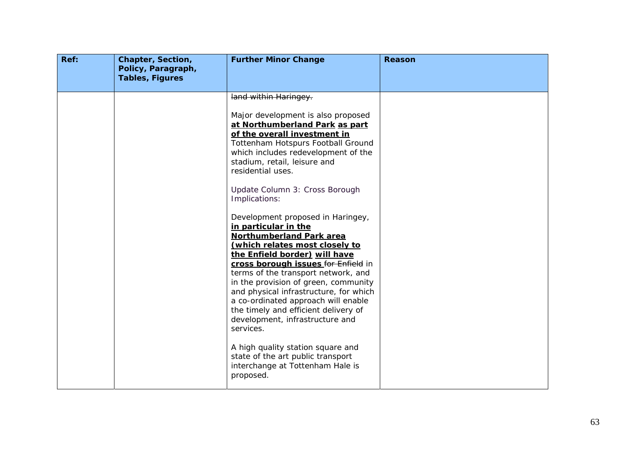| Ref: | Chapter, Section,<br>Policy, Paragraph,<br><b>Tables, Figures</b> | <b>Further Minor Change</b>                                                                                                                                                                                                                                                                                                                                                                                                                                                                                                                                                                                                                                                                                                                                                                                                                                                                                     | <b>Reason</b> |
|------|-------------------------------------------------------------------|-----------------------------------------------------------------------------------------------------------------------------------------------------------------------------------------------------------------------------------------------------------------------------------------------------------------------------------------------------------------------------------------------------------------------------------------------------------------------------------------------------------------------------------------------------------------------------------------------------------------------------------------------------------------------------------------------------------------------------------------------------------------------------------------------------------------------------------------------------------------------------------------------------------------|---------------|
|      |                                                                   | land within Haringey.<br>Major development is also proposed<br>at Northumberland Park as part<br>of the overall investment in<br>Tottenham Hotspurs Football Ground<br>which includes redevelopment of the<br>stadium, retail, leisure and<br>residential uses.<br>Update Column 3: Cross Borough<br>Implications:<br>Development proposed in Haringey,<br>in particular in the<br><b>Northumberland Park area</b><br>(which relates most closely to<br>the Enfield border) will have<br>cross borough issues for Enfield in<br>terms of the transport network, and<br>in the provision of green, community<br>and physical infrastructure, for which<br>a co-ordinated approach will enable<br>the timely and efficient delivery of<br>development, infrastructure and<br>services.<br>A high quality station square and<br>state of the art public transport<br>interchange at Tottenham Hale is<br>proposed. |               |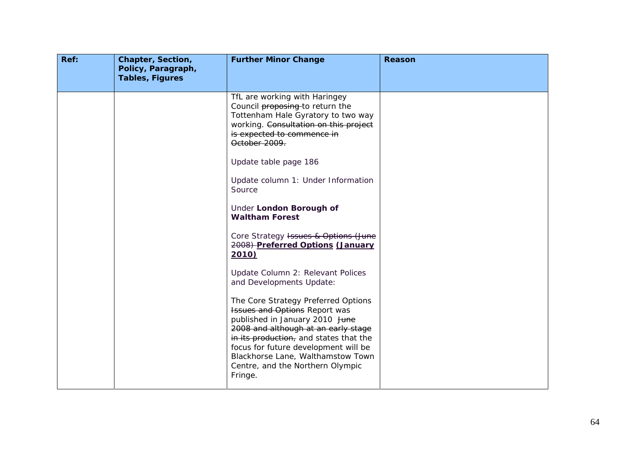| Ref: | Chapter, Section,<br>Policy, Paragraph,<br><b>Tables, Figures</b> | <b>Further Minor Change</b>                                                                                                                                                                                                                                                                                         | Reason |
|------|-------------------------------------------------------------------|---------------------------------------------------------------------------------------------------------------------------------------------------------------------------------------------------------------------------------------------------------------------------------------------------------------------|--------|
|      |                                                                   | TfL are working with Haringey<br>Council proposing to return the<br>Tottenham Hale Gyratory to two way<br>working. Consultation on this project<br>is expected to commence in<br>October 2009.                                                                                                                      |        |
|      |                                                                   | Update table page 186<br>Update column 1: Under Information<br>Source                                                                                                                                                                                                                                               |        |
|      |                                                                   | Under London Borough of<br><b>Waltham Forest</b>                                                                                                                                                                                                                                                                    |        |
|      |                                                                   | Core Strategy Issues & Options (June<br>2008) Preferred Options (January<br>2010)                                                                                                                                                                                                                                   |        |
|      |                                                                   | Update Column 2: Relevant Polices<br>and Developments Update:                                                                                                                                                                                                                                                       |        |
|      |                                                                   | The Core Strategy Preferred Options<br>Issues and Options Report was<br>published in January 2010 June<br>2008 and although at an early stage<br>in its production, and states that the<br>focus for future development will be<br>Blackhorse Lane, Walthamstow Town<br>Centre, and the Northern Olympic<br>Fringe. |        |